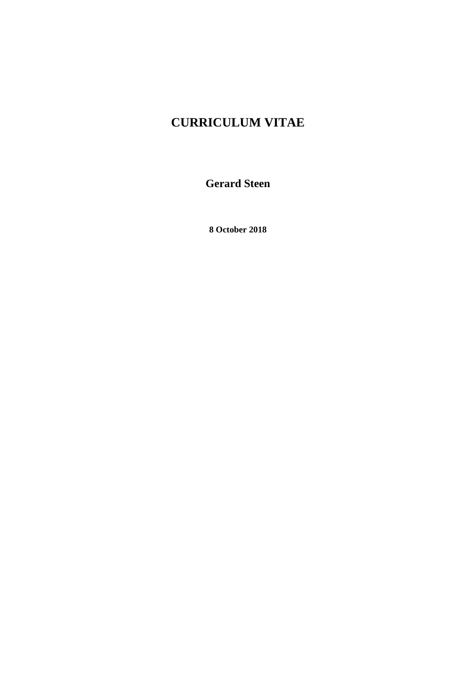# **CURRICULUM VITAE**

**Gerard Steen**

**8 October 2018**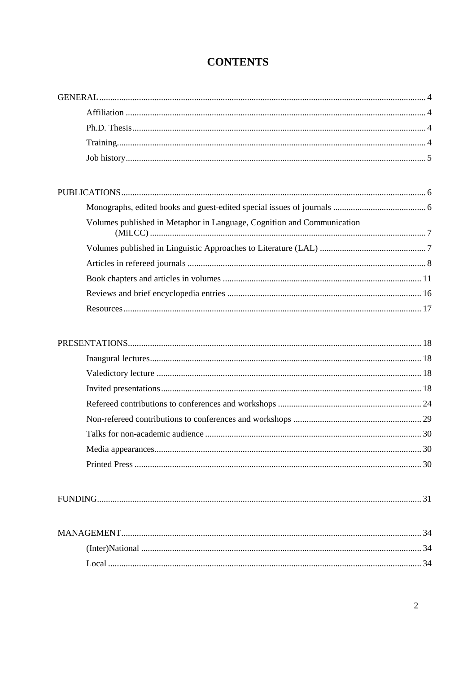## **CONTENTS**

| Volumes published in Metaphor in Language, Cognition and Communication |  |
|------------------------------------------------------------------------|--|
|                                                                        |  |
|                                                                        |  |
|                                                                        |  |
|                                                                        |  |
|                                                                        |  |

|--|

| - ocal |  |
|--------|--|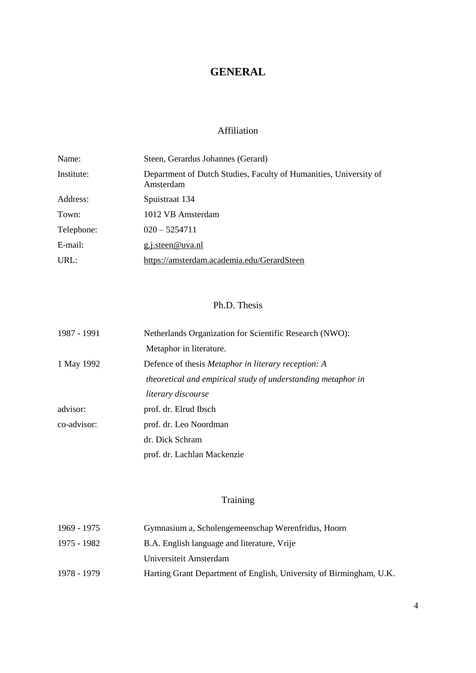## **GENERAL**

## Affiliation

<span id="page-3-1"></span><span id="page-3-0"></span>

| Name:      | Steen, Gerardus Johannes (Gerard)                                              |
|------------|--------------------------------------------------------------------------------|
| Institute: | Department of Dutch Studies, Faculty of Humanities, University of<br>Amsterdam |
| Address:   | Spuistraat 134                                                                 |
| Town:      | 1012 VB Amsterdam                                                              |
| Telephone: | $020 - 5254711$                                                                |
| E-mail:    | g.j.steen@uva.nl                                                               |
| URL:       | https://amsterdam.academia.edu/GerardSteen                                     |

## Ph.D. Thesis

<span id="page-3-2"></span>

| 1987 - 1991 | Netherlands Organization for Scientific Research (NWO):      |
|-------------|--------------------------------------------------------------|
|             | Metaphor in literature.                                      |
| 1 May 1992  | Defence of thesis <i>Metaphor in literary reception: A</i>   |
|             | theoretical and empirical study of understanding metaphor in |
|             | literary discourse                                           |
| advisor:    | prof. dr. Elrud Ibsch                                        |
| co-advisor: | prof. dr. Leo Noordman                                       |
|             | dr. Dick Schram                                              |
|             | prof. dr. Lachlan Mackenzie                                  |

## Training

<span id="page-3-3"></span>

| 1969 - 1975 | Gymnasium a, Scholengemeenschap Werenfridus, Hoorn                  |
|-------------|---------------------------------------------------------------------|
| 1975 - 1982 | B.A. English language and literature, Vrije                         |
|             | Universiteit Amsterdam                                              |
| 1978 - 1979 | Harting Grant Department of English, University of Birmingham, U.K. |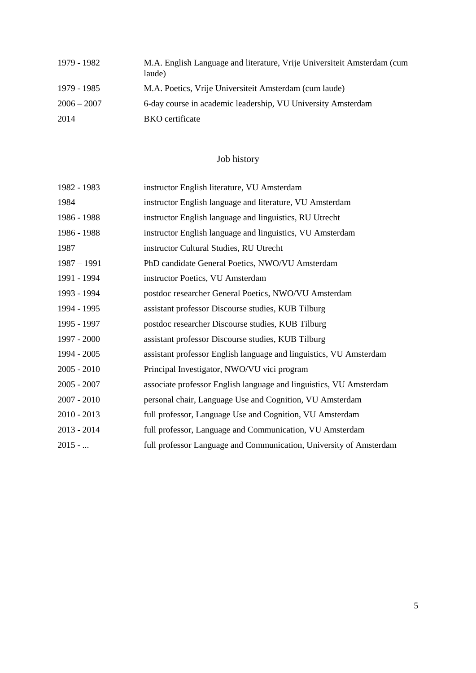| 1979 - 1982   | M.A. English Language and literature, Vrije Universiteit Amsterdam (cum<br>laude) |
|---------------|-----------------------------------------------------------------------------------|
| 1979 - 1985   | M.A. Poetics, Vrije Universiteit Amsterdam (cum laude)                            |
| $2006 - 2007$ | 6-day course in academic leadership, VU University Amsterdam                      |
| 2014          | <b>BKO</b> certificate                                                            |

## Job history

<span id="page-4-0"></span>

| 1982 - 1983   | instructor English literature, VU Amsterdam                        |
|---------------|--------------------------------------------------------------------|
| 1984          | instructor English language and literature, VU Amsterdam           |
| 1986 - 1988   | instructor English language and linguistics, RU Utrecht            |
| 1986 - 1988   | instructor English language and linguistics, VU Amsterdam          |
| 1987          | instructor Cultural Studies, RU Utrecht                            |
| $1987 - 1991$ | PhD candidate General Poetics, NWO/VU Amsterdam                    |
| 1991 - 1994   | instructor Poetics, VU Amsterdam                                   |
| 1993 - 1994   | postdoc researcher General Poetics, NWO/VU Amsterdam               |
| 1994 - 1995   | assistant professor Discourse studies, KUB Tilburg                 |
| 1995 - 1997   | postdoc researcher Discourse studies, KUB Tilburg                  |
| 1997 - 2000   | assistant professor Discourse studies, KUB Tilburg                 |
| 1994 - 2005   | assistant professor English language and linguistics, VU Amsterdam |
| 2005 - 2010   | Principal Investigator, NWO/VU vici program                        |
| 2005 - 2007   | associate professor English language and linguistics, VU Amsterdam |
| 2007 - 2010   | personal chair, Language Use and Cognition, VU Amsterdam           |
| 2010 - 2013   | full professor, Language Use and Cognition, VU Amsterdam           |
| 2013 - 2014   | full professor, Language and Communication, VU Amsterdam           |
| $2015 - $     | full professor Language and Communication, University of Amsterdam |
|               |                                                                    |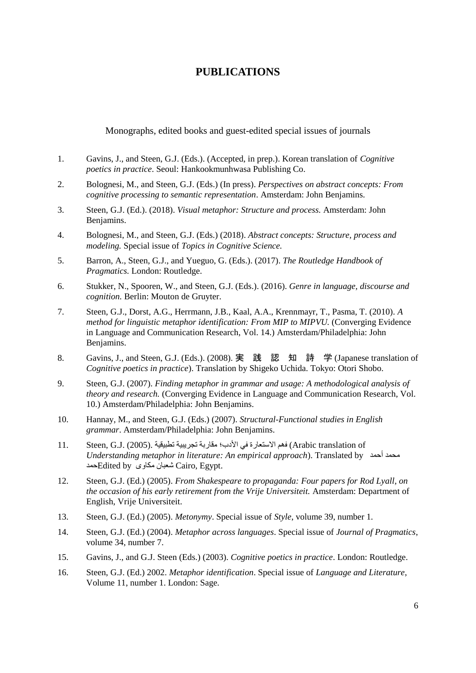## **PUBLICATIONS**

<span id="page-5-0"></span>Monographs, edited books and guest-edited special issues of journals

- <span id="page-5-1"></span>1. Gavins, J., and Steen, G.J. (Eds.). (Accepted, in prep.). Korean translation of *Cognitive poetics in practice*. Seoul: Hankookmunhwasa Publishing Co.
- 2. Bolognesi, M., and Steen, G.J. (Eds.) (In press). *Perspectives on abstract concepts: From cognitive processing to semantic representation*. Amsterdam: John Benjamins.
- 3. Steen, G.J. (Ed.). (2018). *Visual metaphor: Structure and process.* Amsterdam: John Benjamins.
- 4. Bolognesi, M., and Steen, G.J. (Eds.) (2018). *Abstract concepts: Structure, process and modeling.* Special issue of *Topics in Cognitive Science.*
- 5. Barron, A., Steen, G.J., and Yueguo, G. (Eds.). (2017). *The Routledge Handbook of Pragmatics.* London: Routledge.
- 6. Stukker, N., Spooren, W., and Steen, G.J. (Eds.). (2016). *Genre in language, discourse and cognition.* Berlin: Mouton de Gruyter.
- 7. Steen, G.J., Dorst, A.G., Herrmann, J.B., Kaal, A.A., Krennmayr, T., Pasma, T. (2010). *A method for linguistic metaphor identification: From MIP to MIPVU.* (Converging Evidence in Language and Communication Research, Vol. 14.) Amsterdam/Philadelphia: John Benjamins.
- 8. Gavins, J., and Steen, G.J. (Eds.). (2008). 実 践 認 知 詩 学 (Japanese translation of *Cognitive poetics in practice*). Translation by Shigeko Uchida. Tokyo: Otori Shobo.
- 9. Steen, G.J. (2007). *Finding metaphor in grammar and usage: A methodological analysis of theory and research.* (Converging Evidence in Language and Communication Research, Vol. 10.) Amsterdam/Philadelphia: John Benjamins.
- 10. Hannay, M., and Steen, G.J. (Eds.) (2007). *Structural-Functional studies in English grammar*. Amsterdam/Philadelphia: John Benjamins.
- of translation Arabic (فهم الاستعارة في الأدب؛ مقاربة تجريبية تطبيقية .(2005) .J.G ,Steen 11. *Understanding metaphor in literature: An empirical approach*). Translated by أحمد محمد حمدEdited by مكاوى شعبان Cairo, Egypt.
- 12. Steen, G.J. (Ed.) (2005). *From Shakespeare to propaganda: Four papers for Rod Lyall, on the occasion of his early retirement from the Vrije Universiteit.* Amsterdam: Department of English, Vrije Universiteit.
- 13. Steen, G.J. (Ed.) (2005). *Metonymy*. Special issue of *Style*, volume 39, number 1*.*
- 14. Steen, G.J. (Ed.) (2004). *Metaphor across languages*. Special issue of *Journal of Pragmatics*, volume 34, number 7.
- 15. Gavins, J., and G.J. Steen (Eds.) (2003). *Cognitive poetics in practice*. London: Routledge.
- 16. Steen, G.J. (Ed.) 2002. *Metaphor identification*. Special issue of *Language and Literature*, Volume 11, number 1. London: Sage.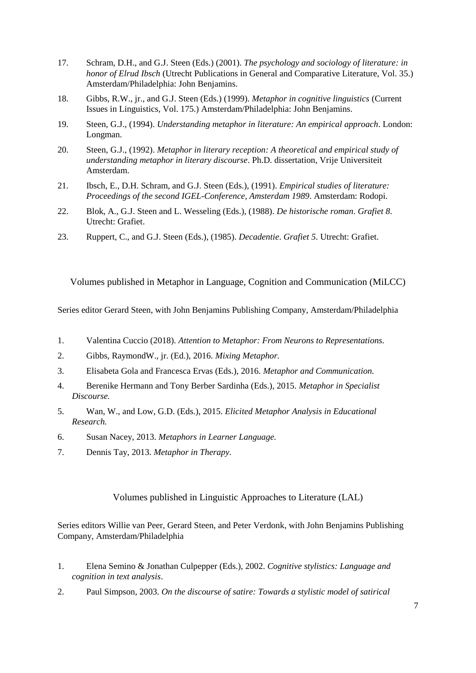- 17. Schram, D.H., and G.J. Steen (Eds.) (2001). *The psychology and sociology of literature: in honor of Elrud Ibsch* (Utrecht Publications in General and Comparative Literature, Vol. 35.) Amsterdam/Philadelphia: John Benjamins.
- 18. Gibbs, R.W., jr., and G.J. Steen (Eds.) (1999). *Metaphor in cognitive linguistics* (Current Issues in Linguistics, Vol. 175.) Amsterdam/Philadelphia: John Benjamins.
- 19. Steen, G.J., (1994). *Understanding metaphor in literature: An empirical approach*. London: Longman.
- 20. Steen, G.J., (1992). *Metaphor in literary reception: A theoretical and empirical study of understanding metaphor in literary discourse*. Ph.D. dissertation, Vrije Universiteit Amsterdam.
- 21. Ibsch, E., D.H. Schram, and G.J. Steen (Eds.), (1991). *Empirical studies of literature: Proceedings of the second IGEL-Conference, Amsterdam 1989*. Amsterdam: Rodopi.
- 22. Blok, A., G.J. Steen and L. Wesseling (Eds.), (1988). *De historische roman*. *Grafiet 8*. Utrecht: Grafiet.
- 23. Ruppert, C., and G.J. Steen (Eds.), (1985). *Decadentie*. *Grafiet 5*. Utrecht: Grafiet.

<span id="page-6-0"></span>Volumes published in Metaphor in Language, Cognition and Communication (MiLCC)

Series editor Gerard Steen, with John Benjamins Publishing Company, Amsterdam/Philadelphia

- 1. Valentina Cuccio (2018). *Attention to Metaphor: From Neurons to Representations.*
- 2. Gibbs, RaymondW., jr. (Ed.), 2016. *Mixing Metaphor.*
- 3. Elisabeta Gola and Francesca Ervas (Eds.), 2016. *Metaphor and Communication.*
- 4. Berenike Hermann and Tony Berber Sardinha (Eds.), 2015. *Metaphor in Specialist Discourse.*
- 5. Wan, W., and Low, G.D. (Eds.), 2015. *Elicited Metaphor Analysis in Educational Research.*
- 6. Susan Nacey, 2013. *Metaphors in Learner Language.*
- 7. Dennis Tay, 2013. *Metaphor in Therapy.*

Volumes published in Linguistic Approaches to Literature (LAL)

<span id="page-6-1"></span>Series editors Willie van Peer, Gerard Steen, and Peter Verdonk, with John Benjamins Publishing Company, Amsterdam/Philadelphia

- 1. Elena Semino & Jonathan Culpepper (Eds.), 2002. *Cognitive stylistics: Language and cognition in text analysis*.
- 2. Paul Simpson, 2003. *On the discourse of satire: Towards a stylistic model of satirical*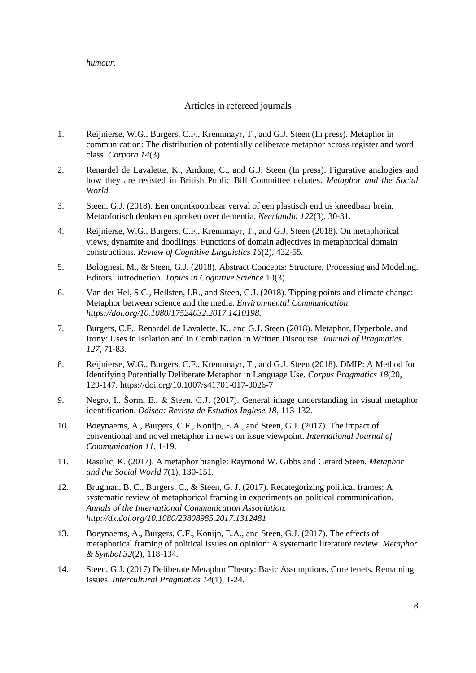#### *humour.*

## Articles in refereed journals

- <span id="page-7-0"></span>1. Reijnierse, W.G., Burgers, C.F., Krennmayr, T., and G.J. Steen (In press). Metaphor in communication: The distribution of potentially deliberate metaphor across register and word class. *Corpora 14*(3).
- 2. Renardel de Lavalette, K., Andone, C., and G.J. Steen (In press). Figurative analogies and how they are resisted in British Public Bill Committee debates. *Metaphor and the Social World.*
- 3. Steen, G.J. (2018). Een onontkoombaar verval of een plastisch end us kneedbaar brein. Metaoforisch denken en spreken over dementia. *Neerlandia 122*(3), 30-31.
- 4. Reijnierse, W.G., Burgers, C.F., Krennmayr, T., and G.J. Steen (2018). On metaphorical views, dynamite and doodlings: Functions of domain adjectives in metaphorical domain constructions. *Review of Cognitive Linguistics 16*(2), 432-55*.*
- 5. Bolognesi, M., & Steen, G.J. (2018). Abstract Concepts: Structure, Processing and Modeling. Editors' introduction. *Topics in Cognitive Science* 10(3).
- 6. Van der Hel, S.C., Hellsten, I.R., and Steen, G.J. (2018). Tipping points and climate change: Metaphor between science and the media. *Environmental Communication: https://doi.org/10.1080/17524032.2017.1410198.*
- 7. Burgers, C.F., Renardel de Lavalette, K., and G.J. Steen (2018). Metaphor, Hyperbole, and Irony: Uses in Isolation and in Combination in Written Discourse. *Journal of Pragmatics 127*, 71-83.
- 8. Reijnierse, W.G., Burgers, C.F., Krennmayr, T., and G.J. Steen (2018). DMIP: A Method for Identifying Potentially Deliberate Metaphor in Language Use. *Corpus Pragmatics 18*(20, 129-147*.* https://doi.org/10.1007/s41701-017-0026-7
- 9. Negro, I., Šorm, E., & Steen, G.J. (2017). General image understanding in visual metaphor identification. *Odisea: Revista de Estudios Inglese 18*, 113-132.
- 10. Boeynaems, A., Burgers, C.F., Konijn, E.A., and Steen, G.J. (2017). The impact of conventional and novel metaphor in news on issue viewpoint. *International Journal of Communication 11*, 1-19.
- 11. Rasulic, K. (2017). A metaphor biangle: Raymond W. Gibbs and Gerard Steen. *Metaphor and the Social World 7*(1), 130-151*.*
- 12. Brugman, B. C., Burgers, C., & Steen, G. J. (2017). Recategorizing political frames: A systematic review of metaphorical framing in experiments on political communication*. Annals of the International Communication Association. http://dx.doi.org/10.1080/23808985.2017.1312481*
- 13. Boeynaems, A., Burgers, C.F., Konijn, E.A., and Steen, G.J. (2017). The effects of metaphorical framing of political issues on opinion: A systematic literature review. *Metaphor & Symbol 32*(2), 118-134*.*
- 14. Steen, G.J. (2017) Deliberate Metaphor Theory: Basic Assumptions, Core tenets, Remaining Issues. *Intercultural Pragmatics 14*(1), 1-24*.*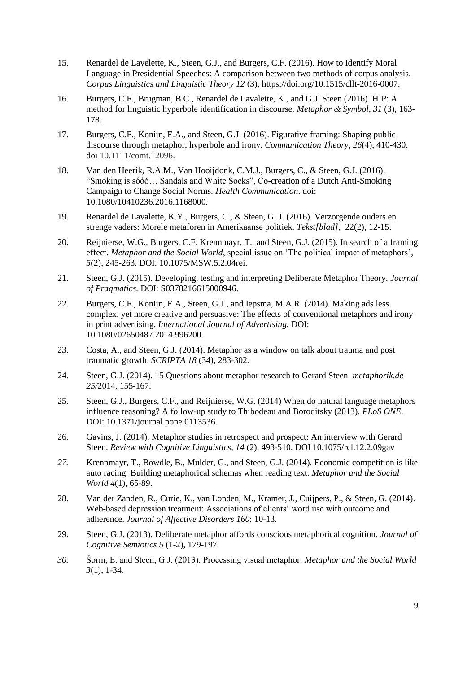- 15. Renardel de Lavelette, K., Steen, G.J., and Burgers, C.F. (2016). How to Identify Moral Language in Presidential Speeches: A comparison between two methods of corpus analysis. *Corpus Linguistics and Linguistic Theory 12* (3), https://doi.org/10.1515/cllt-2016-0007.
- 16. Burgers, C.F., Brugman, B.C., Renardel de Lavalette, K., and G.J. Steen (2016). HIP: A method for linguistic hyperbole identification in discourse. *Metaphor & Symbol, 31* (3), 163- 178*.*
- 17. Burgers, C.F., Konijn, E.A., and Steen, G.J. (2016). Figurative framing: Shaping public discourse through metaphor, hyperbole and irony. *Communication Theory, 26*(4), 410-430. doi 10.1111/comt.12096.
- 18. Van den Heerik, R.A.M., Van Hooijdonk, C.M.J., Burgers, C., & Steen, G.J. (2016). "Smoking is sóóó… Sandals and White Socks", Co-creation of a Dutch Anti-Smoking Campaign to Change Social Norms. *Health Communication*. doi: 10.1080/10410236.2016.1168000.
- 19. Renardel de Lavalette, K.Y., Burgers, C., & Steen, G. J. (2016). Verzorgende ouders en strenge vaders: Morele metaforen in Amerikaanse politiek. *Tekst[blad]*, 22(2), 12-15.
- 20. Reijnierse, W.G., Burgers, C.F. Krennmayr, T., and Steen, G.J. (2015). In search of a framing effect. *Metaphor and the Social World*, special issue on 'The political impact of metaphors', *5*(2), 245-263. DOI: 10.1075/MSW.5.2.04rei.
- 21. Steen, G.J. (2015). Developing, testing and interpreting Deliberate Metaphor Theory. *Journal of Pragmatics.* DOI: S0378216615000946.
- 22. Burgers, C.F., Konijn, E.A., Steen, G.J., and Iepsma, M.A.R. (2014). Making ads less complex, yet more creative and persuasive: The effects of conventional metaphors and irony in print advertising. *International Journal of Advertising.* DOI: 10.1080/02650487.2014.996200.
- 23. Costa, A., and Steen, G.J. (2014). Metaphor as a window on talk about trauma and post traumatic growth. *SCRIPTA 18* (34), 283-302*.*
- 24. Steen, G.J. (2014). 15 Questions about metaphor research to Gerard Steen. *metaphorik.de 25/*2014, 155-167.
- 25. Steen, G.J., Burgers, C.F., and Reijnierse, W.G. (2014) When do natural language metaphors influence reasoning? A follow-up study to Thibodeau and Boroditsky (2013). *PLoS ONE.*  DOI: 10.1371/journal.pone.0113536.
- 26. Gavins, J. (2014). Metaphor studies in retrospect and prospect: An interview with Gerard Steen. *Review with Cognitive Linguistics, 14* (2), 493-510. DOI 10.1075/rcl.12.2.09gav
- *27.* Krennmayr, T., Bowdle, B., Mulder, G., and Steen, G.J. (2014). Economic competition is like auto racing: Building metaphorical schemas when reading text. *Metaphor and the Social World 4*(1), 65-89.
- 28. Van der Zanden, R., Curie, K., van Londen, M., Kramer, J., Cuijpers, P., & Steen, G. (2014). Web-based depression treatment: Associations of clients' word use with outcome and adherence. *Journal of Affective Disorders 160*: 10-13*.*
- 29. Steen, G.J. (2013). Deliberate metaphor affords conscious metaphorical cognition. *Journal of Cognitive Semiotics 5* (1-2), 179-197.
- *30.* Šorm, E. and Steen, G.J. (2013). Processing visual metaphor. *Metaphor and the Social World 3*(1), 1-34*.*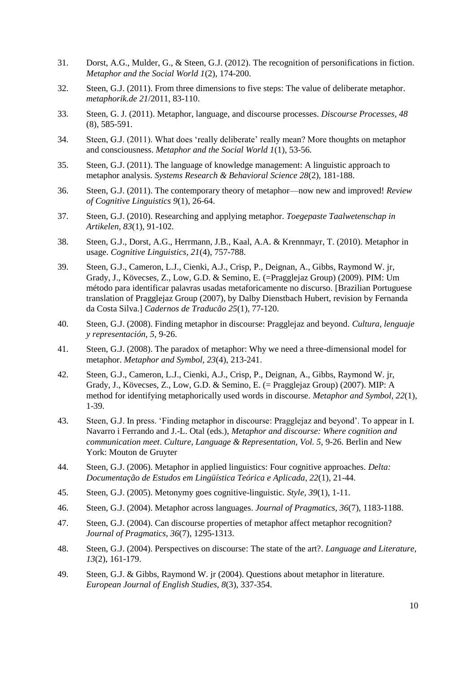- 31. Dorst, A.G., Mulder, G., & Steen, G.J. (2012). The recognition of personifications in fiction. *Metaphor and the Social World 1*(2), 174-200.
- 32. Steen, G.J. (2011). From three dimensions to five steps: The value of deliberate metaphor. *metaphorik.de 21*/2011, 83-110.
- 33. Steen, G. J. (2011). Metaphor, language, and discourse processes. *Discourse Processes, 48*  (8), 585-591.
- 34. Steen, G.J. (2011). What does 'really deliberate' really mean? More thoughts on metaphor and consciousness. *Metaphor and the Social World 1*(1), 53-56*.*
- 35. Steen, G.J. (2011). The language of knowledge management: A linguistic approach to metaphor analysis. *Systems Research & Behavioral Science 28*(2), 181-188.
- 36. Steen, G.J. (2011). The contemporary theory of metaphor—now new and improved! *Review of Cognitive Linguistics 9*(1), 26-64.
- 37. Steen, G.J. (2010). Researching and applying metaphor. *Toegepaste Taalwetenschap in Artikelen, 83*(1), 91-102.
- 38. Steen, G.J., Dorst, A.G., Herrmann, J.B., Kaal, A.A. & Krennmayr, T. (2010). Metaphor in usage. *Cognitive Linguistics, 21*(4), 757-788.
- 39. Steen, G.J., Cameron, L.J., Cienki, A.J., Crisp, P., Deignan, A., Gibbs, Raymond W. jr, Grady, J., Kövecses, Z., Low, G.D. & Semino, E. (=Pragglejaz Group) (2009). PIM: Um método para identificar palavras usadas metaforicamente no discurso. [Brazilian Portuguese translation of Pragglejaz Group (2007), by Dalby Dienstbach Hubert, revision by Fernanda da Costa Silva.] *Cadernos de Traducão 25*(1), 77-120.
- 40. Steen, G.J. (2008). Finding metaphor in discourse: Pragglejaz and beyond. *Cultura, lenguaje y representación, 5*, 9-26.
- 41. Steen, G.J. (2008). The paradox of metaphor: Why we need a three-dimensional model for metaphor. *Metaphor and Symbol, 23*(4), 213-241.
- 42. Steen, G.J., Cameron, L.J., Cienki, A.J., Crisp, P., Deignan, A., Gibbs, Raymond W. jr, Grady, J., Kövecses, Z., Low, G.D. & Semino, E. (= Pragglejaz Group) (2007). MIP: A method for identifying metaphorically used words in discourse. *Metaphor and Symbol, 22*(1), 1-39.
- 43. Steen, G.J. In press. 'Finding metaphor in discourse: Pragglejaz and beyond'. To appear in I. Navarro i Ferrando and J.-L. Otal (eds.), *Metaphor and discourse: Where cognition and communication meet*. *Culture, Language & Representation, Vol. 5,* 9-26. Berlin and New York: Mouton de Gruyter
- 44. Steen, G.J. (2006). Metaphor in applied linguistics: Four cognitive approaches. *Delta: Documentação de Estudos em Lingüística Teórica e Aplicada, 22*(1), 21-44.
- 45. Steen, G.J. (2005). Metonymy goes cognitive-linguistic. *Style, 39*(1), 1-11.
- 46. Steen, G.J. (2004). Metaphor across languages. *Journal of Pragmatics, 36*(7), 1183-1188.
- 47. Steen, G.J. (2004). Can discourse properties of metaphor affect metaphor recognition? *Journal of Pragmatics, 36*(7), 1295-1313.
- 48. Steen, G.J. (2004). Perspectives on discourse: The state of the art?. *Language and Literature, 13*(2), 161-179.
- 49. Steen, G.J. & Gibbs, Raymond W. jr (2004). Questions about metaphor in literature. *European Journal of English Studies, 8*(3), 337-354.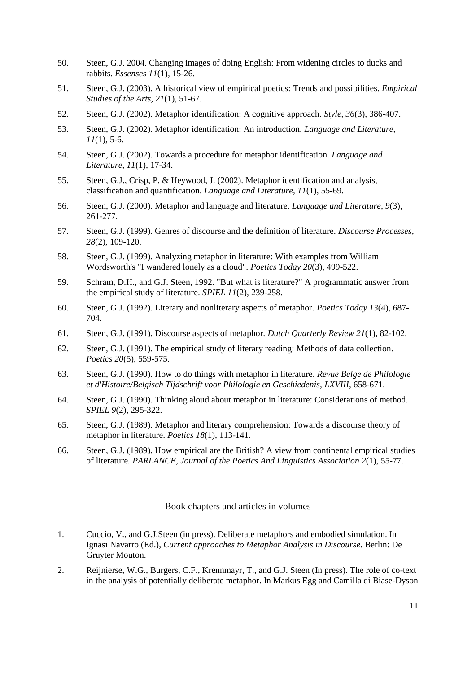- 50. Steen, G.J. 2004. Changing images of doing English: From widening circles to ducks and rabbits. *Essenses 11*(1)*,* 15-26.
- 51. Steen, G.J. (2003). A historical view of empirical poetics: Trends and possibilities. *Empirical Studies of the Arts, 21*(1), 51-67.
- 52. Steen, G.J. (2002). Metaphor identification: A cognitive approach. *Style, 36*(3), 386-407.
- 53. Steen, G.J. (2002). Metaphor identification: An introduction. *Language and Literature, 11*(1), 5-6.
- 54. Steen, G.J. (2002). Towards a procedure for metaphor identification. *Language and Literature, 11*(1), 17-34.
- 55. Steen, G.J., Crisp, P. & Heywood, J. (2002). Metaphor identification and analysis, classification and quantification. *Language and Literature, 11*(1), 55-69.
- 56. Steen, G.J. (2000). Metaphor and language and literature. *Language and Literature, 9*(3), 261-277.
- 57. Steen, G.J. (1999). Genres of discourse and the definition of literature. *Discourse Processes, 28*(2), 109-120.
- 58. Steen, G.J. (1999). Analyzing metaphor in literature: With examples from William Wordsworth's "I wandered lonely as a cloud". *Poetics Today 20*(3), 499-522.
- 59. Schram, D.H., and G.J. Steen, 1992. "But what is literature?" A programmatic answer from the empirical study of literature. *SPIEL 11*(2), 239-258.
- 60. Steen, G.J. (1992). Literary and nonliterary aspects of metaphor. *Poetics Today 13*(4), 687- 704.
- 61. Steen, G.J. (1991). Discourse aspects of metaphor. *Dutch Quarterly Review 21*(1), 82-102.
- 62. Steen, G.J. (1991). The empirical study of literary reading: Methods of data collection. *Poetics 20*(5), 559-575.
- 63. Steen, G.J. (1990). How to do things with metaphor in literature. *Revue Belge de Philologie et d'Histoire/Belgisch Tijdschrift voor Philologie en Geschiedenis, LXVIII*, 658-671.
- 64. Steen, G.J. (1990). Thinking aloud about metaphor in literature: Considerations of method. *SPIEL 9*(2), 295-322.
- 65. Steen, G.J. (1989). Metaphor and literary comprehension: Towards a discourse theory of metaphor in literature. *Poetics 18*(1), 113-141.
- 66. Steen, G.J. (1989). How empirical are the British? A view from continental empirical studies of literature*. PARLANCE, Journal of the Poetics And Linguistics Association 2*(1), 55-77.

#### Book chapters and articles in volumes

- <span id="page-10-0"></span>1. Cuccio, V., and G.J.Steen (in press). Deliberate metaphors and embodied simulation. In Ignasi Navarro (Ed.), *Current approaches to Metaphor Analysis in Discourse.* Berlin: De Gruyter Mouton.
- 2. Reijnierse, W.G., Burgers, C.F., Krennmayr, T., and G.J. Steen (In press). The role of co-text in the analysis of potentially deliberate metaphor. In Markus Egg and Camilla di Biase-Dyson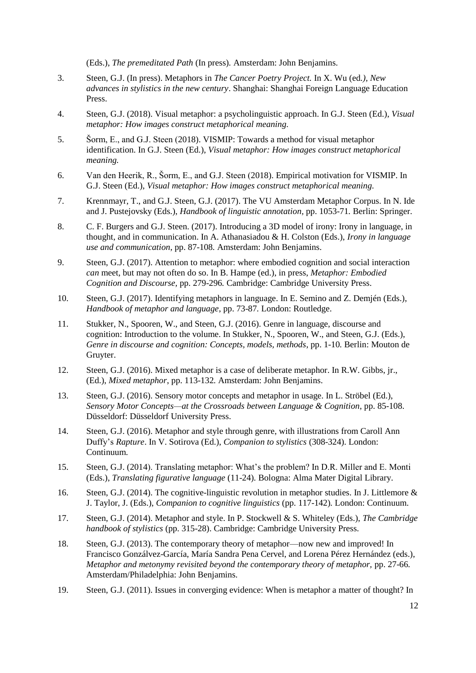(Eds.), *The premeditated Path* (In press)*.* Amsterdam: John Benjamins.

- 3. Steen, G.J. (In press). Metaphors in *The Cancer Poetry Project.* In X. Wu (ed*.), New advances in stylistics in the new century*. Shanghai: Shanghai Foreign Language Education Press.
- 4. Steen, G.J. (2018). Visual metaphor: a psycholinguistic approach. In G.J. Steen (Ed.), *Visual metaphor: How images construct metaphorical meaning.*
- 5. Šorm, E., and G.J. Steen (2018). VISMIP: Towards a method for visual metaphor identification. In G.J. Steen (Ed.), *Visual metaphor: How images construct metaphorical meaning.*
- 6. Van den Heerik, R., Šorm, E., and G.J. Steen (2018). Empirical motivation for VISMIP. In G.J. Steen (Ed.), *Visual metaphor: How images construct metaphorical meaning.*
- 7. Krennmayr, T., and G.J. Steen, G.J. (2017). The VU Amsterdam Metaphor Corpus. In N. Ide and J. Pustejovsky (Eds.), *Handbook of linguistic annotation,* pp. 1053-71*.* Berlin: Springer.
- 8. C. F. Burgers and G.J. Steen. (2017). Introducing a 3D model of irony: Irony in language, in thought, and in communication. In A. Athanasiadou & H. Colston (Eds.), *Irony in language use and communication*, pp. 87-108*.* Amsterdam: John Benjamins.
- 9. Steen, G.J. (2017). Attention to metaphor: where embodied cognition and social interaction *can* meet, but may not often do so. In B. Hampe (ed.), in press, *Metaphor: Embodied Cognition and Discourse,* pp. 279-296*.* Cambridge: Cambridge University Press.
- 10. Steen, G.J. (2017). Identifying metaphors in language. In E. Semino and Z. Demjén (Eds.), *Handbook of metaphor and language*, pp. 73-87*.* London: Routledge.
- 11. Stukker, N., Spooren, W., and Steen, G.J. (2016). Genre in language, discourse and cognition: Introduction to the volume. In Stukker, N., Spooren, W., and Steen, G.J. (Eds.), *Genre in discourse and cognition: Concepts, models, methods*, pp. 1-10*.* Berlin: Mouton de Gruyter.
- 12. Steen, G.J. (2016). Mixed metaphor is a case of deliberate metaphor. In R.W. Gibbs, jr., (Ed.), *Mixed metaphor*, pp. 113-132*.* Amsterdam: John Benjamins.
- 13. Steen, G.J. (2016). Sensory motor concepts and metaphor in usage. In L. Ströbel (Ed.), *Sensory Motor Concepts—at the Crossroads between Language & Cognition*, pp. 85-108. Düsseldorf: Düsseldorf University Press.
- 14. Steen, G.J. (2016). Metaphor and style through genre, with illustrations from Caroll Ann Duffy's *Rapture*. In V. Sotirova (Ed.), *Companion to stylistics* (308-324). London: Continuum.
- 15. Steen, G.J. (2014). Translating metaphor: What's the problem? In D.R. Miller and E. Monti (Eds.), *Translating figurative language* (11-24)*.* Bologna: Alma Mater Digital Library.
- 16. Steen, G.J. (2014). The cognitive-linguistic revolution in metaphor studies. In J. Littlemore & J. Taylor, J. (Eds.), *Companion to cognitive linguistics* (pp. 117-142)*.* London: Continuum.
- 17. Steen, G.J. (2014). Metaphor and style. In P. Stockwell & S. Whiteley (Eds.), *The Cambridge handbook of stylistics* (pp. 315-28). Cambridge: Cambridge University Press.
- 18. Steen, G.J. (2013). The contemporary theory of metaphor—now new and improved! In Francisco Gonzálvez-García, María Sandra Pena Cervel, and Lorena Pérez Hernández (eds.), *Metaphor and metonymy revisited beyond the contemporary theory of metaphor,* pp. 27-66*.*  Amsterdam/Philadelphia: John Benjamins.
- 19. Steen, G.J. (2011). Issues in converging evidence: When is metaphor a matter of thought? In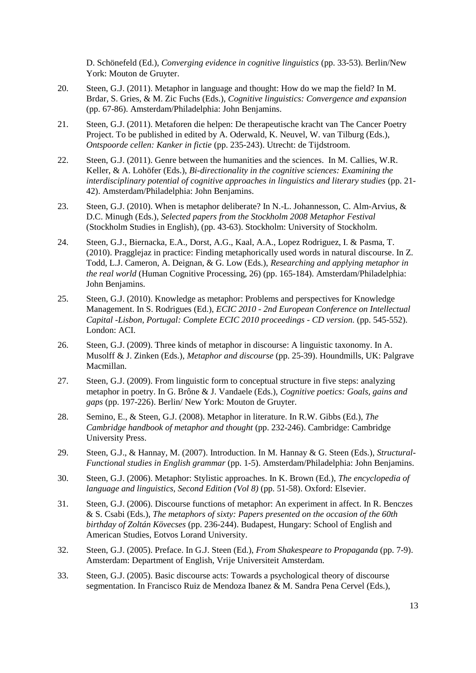D. Schönefeld (Ed.), *Converging evidence in cognitive linguistics* (pp. 33-53). Berlin/New York: Mouton de Gruyter.

- 20. Steen, G.J. (2011). Metaphor in language and thought: How do we map the field? In M. Brdar, S. Gries, & M. Zic Fuchs (Eds.), *Cognitive linguistics: Convergence and expansion*  (pp. 67-86). Amsterdam/Philadelphia: John Benjamins.
- 21. Steen, G.J. (2011). Metaforen die helpen: De therapeutische kracht van The Cancer Poetry Project. To be published in edited by A. Oderwald, K. Neuvel, W. van Tilburg (Eds.), *Ontspoorde cellen: Kanker in fictie* (pp. 235-243). Utrecht: de Tijdstroom.
- 22. Steen, G.J. (2011). Genre between the humanities and the sciences. In M. Callies, W.R. Keller, & A. Lohöfer (Eds.), *Bi-directionality in the cognitive sciences: Examining the interdisciplinary potential of cognitive approaches in linguistics and literary studies* (pp. 21- 42). Amsterdam/Philadelphia: John Benjamins.
- 23. Steen, G.J. (2010). When is metaphor deliberate? In N.-L. Johannesson, C. Alm-Arvius, & D.C. Minugh (Eds.), *Selected papers from the Stockholm 2008 Metaphor Festival* (Stockholm Studies in English), (pp. 43-63). Stockholm: University of Stockholm.
- 24. Steen, G.J., Biernacka, E.A., Dorst, A.G., Kaal, A.A., Lopez Rodriguez, I. & Pasma, T. (2010). Pragglejaz in practice: Finding metaphorically used words in natural discourse. In Z. Todd, L.J. Cameron, A. Deignan, & G. Low (Eds.), *Researching and applying metaphor in the real world* (Human Cognitive Processing, 26) (pp. 165-184). Amsterdam/Philadelphia: John Benjamins.
- 25. Steen, G.J. (2010). Knowledge as metaphor: Problems and perspectives for Knowledge Management. In S. Rodrigues (Ed.), *ECIC 2010 - 2nd European Conference on Intellectual Capital -Lisbon, Portugal: Complete ECIC 2010 proceedings - CD version.* (pp. 545-552). London: ACI.
- 26. Steen, G.J. (2009). Three kinds of metaphor in discourse: A linguistic taxonomy. In A. Musolff & J. Zinken (Eds.), *Metaphor and discourse* (pp. 25-39). Houndmills, UK: Palgrave Macmillan.
- 27. Steen, G.J. (2009). From linguistic form to conceptual structure in five steps: analyzing metaphor in poetry. In G. Brône & J. Vandaele (Eds.), *Cognitive poetics: Goals, gains and gaps* (pp. 197-226). Berlin/ New York: Mouton de Gruyter.
- 28. Semino, E., & Steen, G.J. (2008). Metaphor in literature. In R.W. Gibbs (Ed.), *The Cambridge handbook of metaphor and thought* (pp. 232-246). Cambridge: Cambridge University Press.
- 29. Steen, G.J., & Hannay, M. (2007). Introduction. In M. Hannay & G. Steen (Eds.), *Structural-Functional studies in English grammar* (pp. 1-5). Amsterdam/Philadelphia: John Benjamins.
- 30. Steen, G.J. (2006). Metaphor: Stylistic approaches. In K. Brown (Ed.), *The encyclopedia of language and linguistics, Second Edition (Vol 8)* (pp. 51-58). Oxford: Elsevier.
- 31. Steen, G.J. (2006). Discourse functions of metaphor: An experiment in affect. In R. Benczes & S. Csabi (Eds.), *The metaphors of sixty: Papers presented on the occasion of the 60th birthday of Zoltán Kövecses* (pp. 236-244). Budapest, Hungary: School of English and American Studies, Eotvos Lorand University.
- 32. Steen, G.J. (2005). Preface. In G.J. Steen (Ed.), *From Shakespeare to Propaganda* (pp. 7-9). Amsterdam: Department of English, Vrije Universiteit Amsterdam.
- 33. Steen, G.J. (2005). Basic discourse acts: Towards a psychological theory of discourse segmentation. In Francisco Ruiz de Mendoza Ibanez & M. Sandra Pena Cervel (Eds.),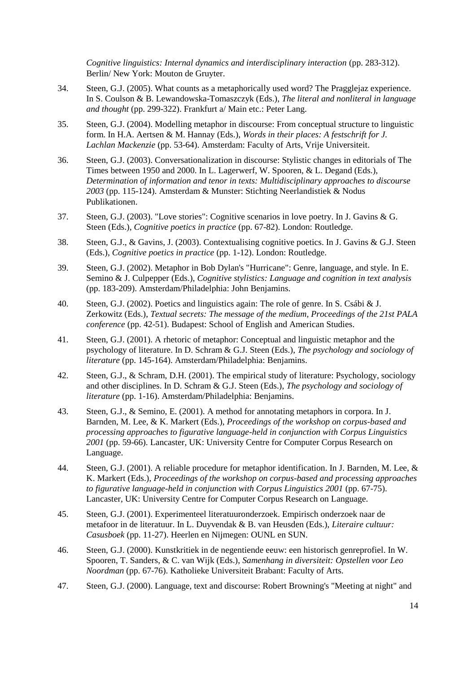*Cognitive linguistics: Internal dynamics and interdisciplinary interaction* (pp. 283-312). Berlin/ New York: Mouton de Gruyter.

- 34. Steen, G.J. (2005). What counts as a metaphorically used word? The Pragglejaz experience. In S. Coulson & B. Lewandowska-Tomaszczyk (Eds.), *The literal and nonliteral in language and thought* (pp. 299-322). Frankfurt a/ Main etc.: Peter Lang.
- 35. Steen, G.J. (2004). Modelling metaphor in discourse: From conceptual structure to linguistic form. In H.A. Aertsen & M. Hannay (Eds.), *Words in their places: A festschrift for J. Lachlan Mackenzie* (pp. 53-64). Amsterdam: Faculty of Arts, Vrije Universiteit.
- 36. Steen, G.J. (2003). Conversationalization in discourse: Stylistic changes in editorials of The Times between 1950 and 2000. In L. Lagerwerf, W. Spooren, & L. Degand (Eds.), *Determination of information and tenor in texts: Multidisciplinary approaches to discourse 2003* (pp. 115-124). Amsterdam & Munster: Stichting Neerlandistiek & Nodus Publikationen.
- 37. Steen, G.J. (2003). "Love stories": Cognitive scenarios in love poetry. In J. Gavins & G. Steen (Eds.), *Cognitive poetics in practice* (pp. 67-82). London: Routledge.
- 38. Steen, G.J., & Gavins, J. (2003). Contextualising cognitive poetics. In J. Gavins & G.J. Steen (Eds.), *Cognitive poetics in practice* (pp. 1-12). London: Routledge.
- 39. Steen, G.J. (2002). Metaphor in Bob Dylan's "Hurricane": Genre, language, and style. In E. Semino & J. Culpepper (Eds.), *Cognitive stylistics: Language and cognition in text analysis* (pp. 183-209). Amsterdam/Philadelphia: John Benjamins.
- 40. Steen, G.J. (2002). Poetics and linguistics again: The role of genre. In S. Csábi & J. Zerkowitz (Eds.), *Textual secrets: The message of the medium, Proceedings of the 21st PALA conference* (pp. 42-51). Budapest: School of English and American Studies.
- 41. Steen, G.J. (2001). A rhetoric of metaphor: Conceptual and linguistic metaphor and the psychology of literature. In D. Schram & G.J. Steen (Eds.), *The psychology and sociology of literature* (pp. 145-164). Amsterdam/Philadelphia: Benjamins.
- 42. Steen, G.J., & Schram, D.H. (2001). The empirical study of literature: Psychology, sociology and other disciplines. In D. Schram & G.J. Steen (Eds.), *The psychology and sociology of literature* (pp. 1-16). Amsterdam/Philadelphia: Benjamins.
- 43. Steen, G.J., & Semino, E. (2001). A method for annotating metaphors in corpora. In J. Barnden, M. Lee, & K. Markert (Eds.), *Proceedings of the workshop on corpus-based and processing approaches to figurative language-held in conjunction with Corpus Linguistics 2001* (pp. 59-66). Lancaster, UK: University Centre for Computer Corpus Research on Language.
- 44. Steen, G.J. (2001). A reliable procedure for metaphor identification. In J. Barnden, M. Lee, & K. Markert (Eds.), *Proceedings of the workshop on corpus-based and processing approaches to figurative language-held in conjunction with Corpus Linguistics 2001* (pp. 67-75). Lancaster, UK: University Centre for Computer Corpus Research on Language.
- 45. Steen, G.J. (2001). Experimenteel literatuuronderzoek. Empirisch onderzoek naar de metafoor in de literatuur. In L. Duyvendak & B. van Heusden (Eds.), *Literaire cultuur: Casusboek* (pp. 11-27). Heerlen en Nijmegen: OUNL en SUN.
- 46. Steen, G.J. (2000). Kunstkritiek in de negentiende eeuw: een historisch genreprofiel. In W. Spooren, T. Sanders, & C. van Wijk (Eds.), *Samenhang in diversiteit: Opstellen voor Leo Noordman* (pp. 67-76). Katholieke Universiteit Brabant: Faculty of Arts.
- 47. Steen, G.J. (2000). Language, text and discourse: Robert Browning's "Meeting at night" and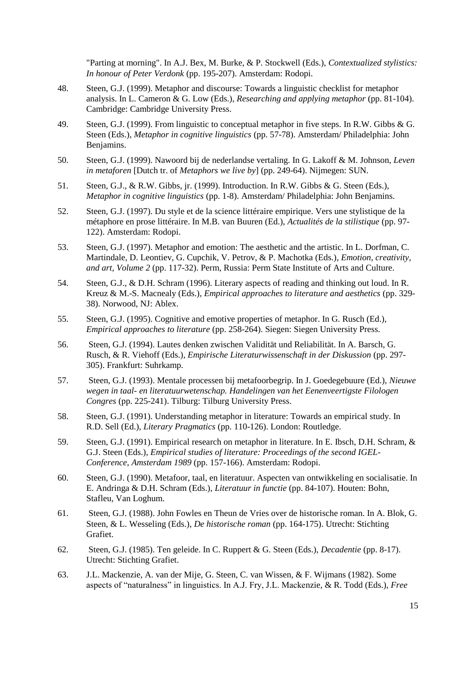"Parting at morning". In A.J. Bex, M. Burke, & P. Stockwell (Eds.), *Contextualized stylistics: In honour of Peter Verdonk* (pp. 195-207). Amsterdam: Rodopi.

- 48. Steen, G.J. (1999). Metaphor and discourse: Towards a linguistic checklist for metaphor analysis. In L. Cameron & G. Low (Eds.), *Researching and applying metaphor* (pp. 81-104). Cambridge: Cambridge University Press.
- 49. Steen, G.J. (1999). From linguistic to conceptual metaphor in five steps. In R.W. Gibbs & G. Steen (Eds.), *Metaphor in cognitive linguistics* (pp. 57-78). Amsterdam/ Philadelphia: John Benjamins.
- 50. Steen, G.J. (1999). Nawoord bij de nederlandse vertaling. In G. Lakoff & M. Johnson, *Leven in metaforen* [Dutch tr. of *Metaphors we live by*] (pp. 249-64). Nijmegen: SUN.
- 51. Steen, G.J., & R.W. Gibbs, jr. (1999). Introduction. In R.W. Gibbs & G. Steen (Eds.), *Metaphor in cognitive linguistics* (pp. 1-8). Amsterdam/ Philadelphia: John Benjamins.
- 52. Steen, G.J. (1997). Du style et de la science littéraire empirique. Vers une stylistique de la métaphore en prose littéraire. In M.B. van Buuren (Ed.), *Actualités de la stilistique* (pp. 97- 122). Amsterdam: Rodopi.
- 53. Steen, G.J. (1997). Metaphor and emotion: The aesthetic and the artistic. In L. Dorfman, C. Martindale, D. Leontiev, G. Cupchik, V. Petrov, & P. Machotka (Eds.)*, Emotion, creativity, and art, Volume 2* (pp. 117-32). Perm, Russia: Perm State Institute of Arts and Culture.
- 54. Steen, G.J., & D.H. Schram (1996). Literary aspects of reading and thinking out loud. In R. Kreuz & M.-S. Macnealy (Eds.)*, Empirical approaches to literature and aesthetics* (pp. 329- 38). Norwood, NJ: Ablex.
- 55. Steen, G.J. (1995). Cognitive and emotive properties of metaphor. In G. Rusch (Ed.), *Empirical approaches to literature* (pp. 258-264). Siegen: Siegen University Press.
- 56. Steen, G.J. (1994). Lautes denken zwischen Validität und Reliabilität. In A. Barsch, G. Rusch, & R. Viehoff (Eds.)*, Empirische Literaturwissenschaft in der Diskussion* (pp. 297- 305). Frankfurt: Suhrkamp.
- 57. Steen, G.J. (1993). Mentale processen bij metafoorbegrip. In J. Goedegebuure (Ed.), *Nieuwe wegen in taal- en literatuurwetenschap. Handelingen van het Eenenveertigste Filologen Congres* (pp. 225-241). Tilburg: Tilburg University Press.
- 58. Steen, G.J. (1991). Understanding metaphor in literature: Towards an empirical study. In R.D. Sell (Ed.), *Literary Pragmatics* (pp. 110-126). London: Routledge.
- 59. Steen, G.J. (1991). Empirical research on metaphor in literature. In E. Ibsch, D.H. Schram, & G.J. Steen (Eds.), *Empirical studies of literature: Proceedings of the second IGEL-Conference, Amsterdam 1989* (pp. 157-166). Amsterdam: Rodopi.
- 60. Steen, G.J. (1990). Metafoor, taal, en literatuur. Aspecten van ontwikkeling en socialisatie. In E. Andringa & D.H. Schram (Eds.), *Literatuur in functie* (pp. 84-107). Houten: Bohn, Stafleu, Van Loghum.
- 61. Steen, G.J. (1988). John Fowles en Theun de Vries over de historische roman. In A. Blok, G. Steen, & L. Wesseling (Eds.), *De historische roman* (pp. 164-175). Utrecht: Stichting Grafiet.
- 62. Steen, G.J. (1985). Ten geleide. In C. Ruppert & G. Steen (Eds.), *Decadentie* (pp. 8-17). Utrecht: Stichting Grafiet.
- 63. J.L. Mackenzie, A. van der Mije, G. Steen, C. van Wissen, & F. Wijmans (1982). Some aspects of "naturalness" in linguistics. In A.J. Fry, J.L. Mackenzie, & R. Todd (Eds.), *Free*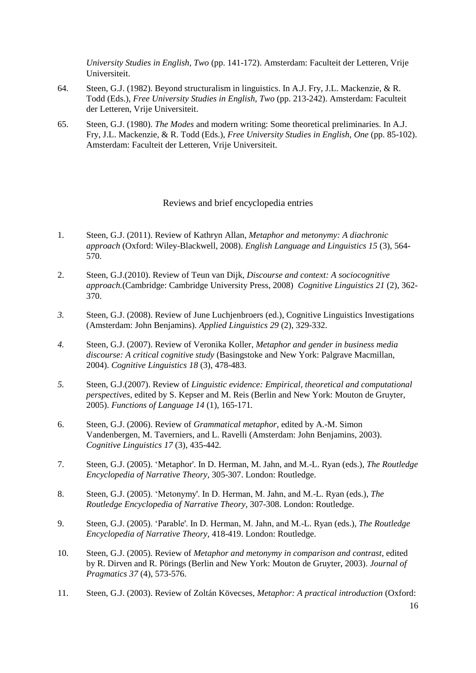*University Studies in English, Two* (pp. 141-172). Amsterdam: Faculteit der Letteren, Vrije Universiteit.

- 64. Steen, G.J. (1982). Beyond structuralism in linguistics. In A.J. Fry, J.L. Mackenzie, & R. Todd (Eds.), *Free University Studies in English, Two* (pp. 213-242). Amsterdam: Faculteit der Letteren, Vrije Universiteit.
- 65. Steen, G.J. (1980). *The Modes* and modern writing: Some theoretical preliminaries. In A.J. Fry, J.L. Mackenzie, & R. Todd (Eds.), *Free University Studies in English, One* (pp. 85-102). Amsterdam: Faculteit der Letteren, Vrije Universiteit.

### Reviews and brief encyclopedia entries

- <span id="page-15-0"></span>1. Steen, G.J. (2011). Review of Kathryn Allan, *Metaphor and metonymy: A diachronic approach* (Oxford: Wiley-Blackwell, 2008). *English Language and Linguistics 15* (3), 564- 570.
- 2. Steen, G.J.(2010). Review of Teun van Dijk, *Discourse and context: A sociocognitive approach.*(Cambridge: Cambridge University Press, 2008) *Cognitive Linguistics 21* (2), 362- 370.
- *3.* Steen, G.J. (2008). Review of June Luchjenbroers (ed.), Cognitive Linguistics Investigations (Amsterdam: John Benjamins). *Applied Linguistics 29* (2), 329-332.
- *4.* Steen, G.J. (2007). Review of Veronika Koller, *Metaphor and gender in business media discourse: A critical cognitive study* (Basingstoke and New York: Palgrave Macmillan, 2004). *Cognitive Linguistics 18* (3), 478-483.
- *5.* Steen, G.J.(2007). Review of *Linguistic evidence: Empirical, theoretical and computational perspectives*, edited by S. Kepser and M. Reis (Berlin and New York: Mouton de Gruyter, 2005). *Functions of Language 14* (1), 165-171*.*
- 6. Steen, G.J. (2006). Review of *Grammatical metaphor*, edited by A.-M. Simon Vandenbergen, M. Taverniers, and L. Ravelli (Amsterdam: John Benjamins, 2003). *Cognitive Linguistics 17* (3), 435-442*.*
- 7. Steen, G.J. (2005). 'Metaphor'. In D. Herman, M. Jahn, and M.-L. Ryan (eds.), *The Routledge Encyclopedia of Narrative Theory,* 305-307. London: Routledge.
- 8. Steen, G.J. (2005). 'Metonymy'. In D. Herman, M. Jahn, and M.-L. Ryan (eds.), *The Routledge Encyclopedia of Narrative Theory,* 307-308. London: Routledge.
- 9. Steen, G.J. (2005). 'Parable'. In D. Herman, M. Jahn, and M.-L. Ryan (eds.), *The Routledge Encyclopedia of Narrative Theory,* 418-419. London: Routledge.
- 10. Steen, G.J. (2005). Review of *Metaphor and metonymy in comparison and contrast*, edited by R. Dirven and R. Pörings (Berlin and New York: Mouton de Gruyter, 2003). *Journal of Pragmatics 37* (4), 573-576.
- 11. Steen, G.J. (2003). Review of Zoltán Kövecses, *Metaphor: A practical introduction* (Oxford: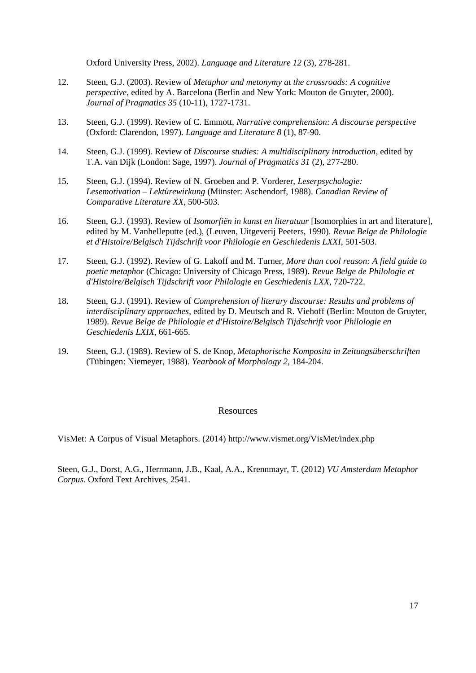Oxford University Press, 2002). *Language and Literature 12* (3), 278-281.

- 12. Steen, G.J. (2003). Review of *Metaphor and metonymy at the crossroads: A cognitive perspective*, edited by A. Barcelona (Berlin and New York: Mouton de Gruyter, 2000). *Journal of Pragmatics 35* (10-11), 1727-1731.
- 13. Steen, G.J. (1999). Review of C. Emmott, *Narrative comprehension: A discourse perspective* (Oxford: Clarendon, 1997). *Language and Literature 8* (1), 87-90.
- 14. Steen, G.J. (1999). Review of *Discourse studies: A multidisciplinary introduction*, edited by T.A. van Dijk (London: Sage, 1997). *Journal of Pragmatics 31* (2), 277-280.
- 15. Steen, G.J. (1994). Review of N. Groeben and P. Vorderer, *Leserpsychologie: Lesemotivation – Lektürewirkung* (Münster: Aschendorf, 1988). *Canadian Review of Comparative Literature XX*, 500-503.
- 16. Steen, G.J. (1993). Review of *Isomorfiën in kunst en literatuur* [Isomorphies in art and literature], edited by M. Vanhelleputte (ed.), (Leuven, Uitgeverij Peeters, 1990). *Revue Belge de Philologie et d'Histoire/Belgisch Tijdschrift voor Philologie en Geschiedenis LXXI*, 501-503.
- 17. Steen, G.J. (1992). Review of G. Lakoff and M. Turner*, More than cool reason: A field guide to poetic metaphor* (Chicago: University of Chicago Press, 1989). *Revue Belge de Philologie et d'Histoire/Belgisch Tijdschrift voor Philologie en Geschiedenis LXX*, 720-722.
- 18. Steen, G.J. (1991). Review of *Comprehension of literary discourse: Results and problems of interdisciplinary approaches*, edited by D. Meutsch and R. Viehoff (Berlin: Mouton de Gruyter, 1989). *Revue Belge de Philologie et d'Histoire/Belgisch Tijdschrift voor Philologie en Geschiedenis LXIX*, 661-665.
- 19. Steen, G.J. (1989). Review of S. de Knop*, Metaphorische Komposita in Zeitungsüberschriften* (Tübingen: Niemeyer, 1988). *Yearbook of Morphology 2*, 184-204.

### Resources

<span id="page-16-0"></span>VisMet: A Corpus of Visual Metaphors. (2014)<http://www.vismet.org/VisMet/index.php>

Steen, G.J., Dorst, A.G., Herrmann, J.B., Kaal, A.A., Krennmayr, T. (2012) *VU Amsterdam Metaphor Corpus.* Oxford Text Archives, 2541.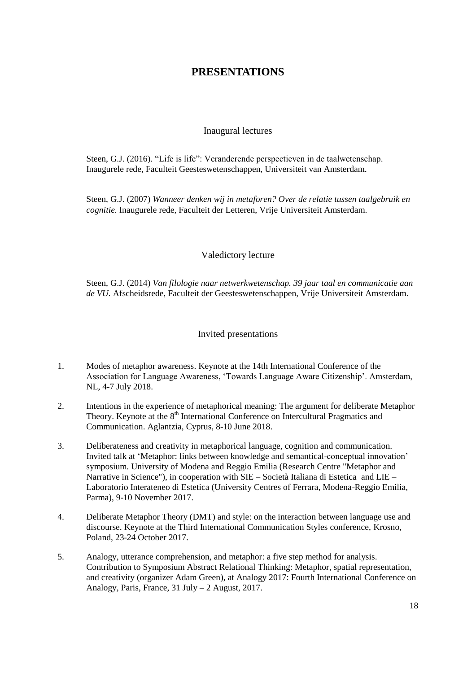## **PRESENTATIONS**

## Inaugural lectures

<span id="page-17-1"></span><span id="page-17-0"></span>Steen, G.J. (2016). "Life is life": Veranderende perspectieven in de taalwetenschap. Inaugurele rede, Faculteit Geesteswetenschappen, Universiteit van Amsterdam.

Steen, G.J. (2007) *Wanneer denken wij in metaforen? Over de relatie tussen taalgebruik en cognitie.* Inaugurele rede, Faculteit der Letteren, Vrije Universiteit Amsterdam.

## Valedictory lecture

<span id="page-17-2"></span>Steen, G.J. (2014) *Van filologie naar netwerkwetenschap. 39 jaar taal en communicatie aan de VU.* Afscheidsrede, Faculteit der Geesteswetenschappen, Vrije Universiteit Amsterdam.

## Invited presentations

- <span id="page-17-3"></span>1. Modes of metaphor awareness. Keynote at the 14th International Conference of the Association for Language Awareness, 'Towards Language Aware Citizenship'. Amsterdam, NL, 4-7 July 2018.
- 2. Intentions in the experience of metaphorical meaning: The argument for deliberate Metaphor Theory. Keynote at the 8<sup>th</sup> International Conference on Intercultural Pragmatics and Communication. Aglantzia, Cyprus, 8-10 June 2018.
- 3. Deliberateness and creativity in metaphorical language, cognition and communication. Invited talk at 'Metaphor: links between knowledge and semantical-conceptual innovation' symposium. University of Modena and Reggio Emilia (Research Centre "Metaphor and Narrative in Science"), in cooperation with SIE – Società Italiana di Estetica and LIE – Laboratorio Interateneo di Estetica (University Centres of Ferrara, Modena-Reggio Emilia, Parma), 9-10 November 2017.
- 4. Deliberate Metaphor Theory (DMT) and style: on the interaction between language use and discourse. Keynote at the Third International Communication Styles conference, Krosno, Poland, 23-24 October 2017.
- 5. Analogy, utterance comprehension, and metaphor: a five step method for analysis. Contribution to Symposium Abstract Relational Thinking: Metaphor, spatial representation, and creativity (organizer Adam Green), at Analogy 2017: Fourth International Conference on Analogy, Paris, France, 31 July – 2 August, 2017.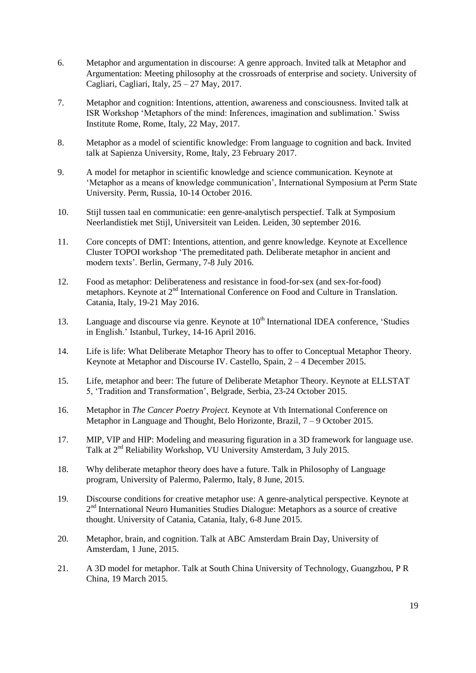- 6. Metaphor and argumentation in discourse: A genre approach. Invited talk at Metaphor and Argumentation: Meeting philosophy at the crossroads of enterprise and society. University of Cagliari, Cagliari, Italy, 25 – 27 May, 2017.
- 7. Metaphor and cognition: Intentions, attention, awareness and consciousness. Invited talk at ISR Workshop 'Metaphors of the mind: Inferences, imagination and sublimation.' Swiss Institute Rome, Rome, Italy, 22 May, 2017.
- 8. Metaphor as a model of scientific knowledge: From language to cognition and back. Invited talk at Sapienza University, Rome, Italy, 23 February 2017.
- 9. A model for metaphor in scientific knowledge and science communication. Keynote at 'Metaphor as a means of knowledge communication', International Symposium at Perm State University. Perm, Russia, 10-14 October 2016.
- 10. Stijl tussen taal en communicatie: een genre-analytisch perspectief. Talk at Symposium Neerlandistiek met Stijl, Universiteit van Leiden. Leiden, 30 september 2016.
- 11. Core concepts of DMT: Intentions, attention, and genre knowledge. Keynote at Excellence Cluster TOPOI workshop 'The premeditated path. Deliberate metaphor in ancient and modern texts'. Berlin, Germany, 7-8 July 2016.
- 12. Food as metaphor: Deliberateness and resistance in food-for-sex (and sex-for-food) metaphors. Keynote at 2<sup>nd</sup> International Conference on Food and Culture in Translation. Catania, Italy, 19-21 May 2016.
- 13. Language and discourse via genre. Keynote at  $10<sup>th</sup>$  International IDEA conference, 'Studies in English.' Istanbul, Turkey, 14-16 April 2016.
- 14. Life is life: What Deliberate Metaphor Theory has to offer to Conceptual Metaphor Theory. Keynote at Metaphor and Discourse IV. Castello, Spain, 2 – 4 December 2015.
- 15. Life, metaphor and beer: The future of Deliberate Metaphor Theory. Keynote at ELLSTAT 5, 'Tradition and Transformation', Belgrade, Serbia, 23-24 October 2015.
- 16. Metaphor in *The Cancer Poetry Project.* Keynote at Vth International Conference on Metaphor in Language and Thought, Belo Horizonte, Brazil, 7 – 9 October 2015.
- 17. MIP, VIP and HIP: Modeling and measuring figuration in a 3D framework for language use. Talk at 2nd Reliability Workshop, VU University Amsterdam, 3 July 2015.
- 18. Why deliberate metaphor theory does have a future. Talk in Philosophy of Language program, University of Palermo, Palermo, Italy, 8 June, 2015.
- 19. Discourse conditions for creative metaphor use: A genre-analytical perspective. Keynote at 2<sup>nd</sup> International Neuro Humanities Studies Dialogue: Metaphors as a source of creative thought. University of Catania, Catania, Italy, 6-8 June 2015.
- 20. Metaphor, brain, and cognition. Talk at ABC Amsterdam Brain Day, University of Amsterdam, 1 June, 2015.
- 21. A 3D model for metaphor. Talk at South China University of Technology, Guangzhou, P R China, 19 March 2015.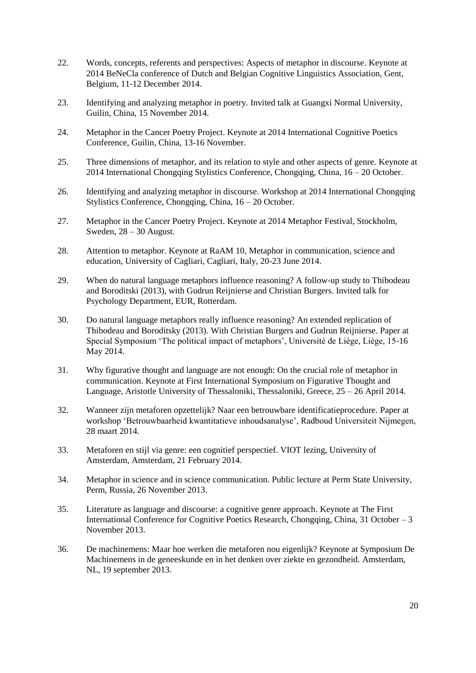- 22. Words, concepts, referents and perspectives: Aspects of metaphor in discourse. Keynote at 2014 BeNeCla conference of Dutch and Belgian Cognitive Linguistics Association, Gent, Belgium, 11-12 December 2014.
- 23. Identifying and analyzing metaphor in poetry*.* Invited talk at Guangxi Normal University, Guilin, China, 15 November 2014.
- 24. Metaphor in the Cancer Poetry Project. Keynote at 2014 International Cognitive Poetics Conference, Guilin, China, 13-16 November.
- 25. Three dimensions of metaphor, and its relation to style and other aspects of genre. Keynote at  $2014$  International Chongqing Stylistics Conference, Chongqing, China,  $16 - 20$  October.
- 26. Identifying and analyzing metaphor in discourse. Workshop at 2014 International Chongqing Stylistics Conference, Chongqing, China, 16 – 20 October.
- 27. Metaphor in the Cancer Poetry Project. Keynote at 2014 Metaphor Festival, Stockholm, Sweden, 28 – 30 August.
- 28. Attention to metaphor. Keynote at RaAM 10, Metaphor in communication, science and education, University of Cagliari, Cagliari, Italy, 20-23 June 2014.
- 29. When do natural language metaphors influence reasoning? A follow-up study to Thibodeau and Boroditski (2013), with Gudrun Reijnierse and Christian Burgers. Invited talk for Psychology Department, EUR, Rotterdam.
- 30. Do natural language metaphors really influence reasoning? An extended replication of Thibodeau and Boroditsky (2013). With Christian Burgers and Gudrun Reijnierse. Paper at Special Symposium 'The political impact of metaphors', Université de Liège, Liège, 15-16 May 2014.
- 31. Why figurative thought and language are not enough: On the crucial role of metaphor in communication. Keynote at First International Symposium on Figurative Thought and Language, Aristotle University of Thessaloniki, Thessaloniki, Greece, 25 – 26 April 2014.
- 32. Wanneer zijn metaforen opzettelijk? Naar een betrouwbare identificatieprocedure. Paper at workshop 'Betrouwbaarheid kwantitatieve inhoudsanalyse', Radboud Universiteit Nijmegen, 28 maart 2014.
- 33. Metaforen en stijl via genre: een cognitief perspectief. VIOT lezing, University of Amsterdam, Amsterdam, 21 February 2014.
- 34. Metaphor in science and in science communication. Public lecture at Perm State University, Perm, Russia, 26 November 2013.
- 35. Literature as language and discourse: a cognitive genre approach. Keynote at The First International Conference for Cognitive Poetics Research, Chongqing, China, 31 October – 3 November 2013.
- 36. De machinemens: Maar hoe werken die metaforen nou eigenlijk? Keynote at Symposium De Machinemens in de geneeskunde en in het denken over ziekte en gezondheid. Amsterdam, NL, 19 september 2013.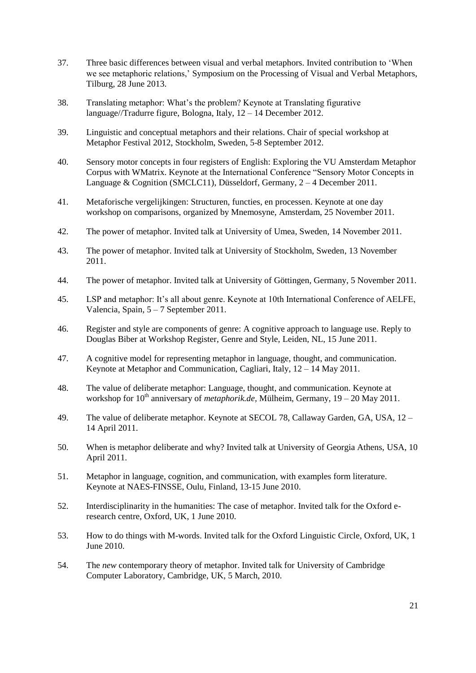- 37. Three basic differences between visual and verbal metaphors. Invited contribution to 'When we see metaphoric relations,' Symposium on the Processing of Visual and Verbal Metaphors, Tilburg, 28 June 2013.
- 38. Translating metaphor: What's the problem? Keynote at Translating figurative language//Tradurre figure, Bologna, Italy, 12 – 14 December 2012.
- 39. Linguistic and conceptual metaphors and their relations. Chair of special workshop at Metaphor Festival 2012, Stockholm, Sweden, 5-8 September 2012.
- 40. Sensory motor concepts in four registers of English: Exploring the VU Amsterdam Metaphor Corpus with WMatrix. Keynote at the International Conference "Sensory Motor Concepts in Language & Cognition (SMCLC11), Düsseldorf, Germany, 2 – 4 December 2011.
- 41. Metaforische vergelijkingen: Structuren, functies, en processen. Keynote at one day workshop on comparisons, organized by Mnemosyne, Amsterdam, 25 November 2011.
- 42. The power of metaphor. Invited talk at University of Umea, Sweden, 14 November 2011.
- 43. The power of metaphor. Invited talk at University of Stockholm, Sweden, 13 November 2011.
- 44. The power of metaphor. Invited talk at University of Göttingen, Germany, 5 November 2011.
- 45. LSP and metaphor: It's all about genre. Keynote at 10th International Conference of AELFE, Valencia, Spain, 5 – 7 September 2011.
- 46. Register and style are components of genre: A cognitive approach to language use. Reply to Douglas Biber at Workshop Register, Genre and Style, Leiden, NL, 15 June 2011.
- 47. A cognitive model for representing metaphor in language, thought, and communication. Keynote at Metaphor and Communication, Cagliari, Italy, 12 – 14 May 2011.
- 48. The value of deliberate metaphor: Language, thought, and communication. Keynote at workshop for 10<sup>th</sup> anniversary of *metaphorik.de*, Mülheim, Germany, 19 – 20 May 2011.
- 49. The value of deliberate metaphor. Keynote at SECOL 78, Callaway Garden, GA, USA, 12 14 April 2011.
- 50. When is metaphor deliberate and why? Invited talk at University of Georgia Athens, USA, 10 April 2011.
- 51. Metaphor in language, cognition, and communication, with examples form literature. Keynote at NAES-FINSSE, Oulu, Finland, 13-15 June 2010.
- 52. Interdisciplinarity in the humanities: The case of metaphor. Invited talk for the Oxford eresearch centre, Oxford, UK, 1 June 2010.
- 53. How to do things with M-words. Invited talk for the Oxford Linguistic Circle, Oxford, UK, 1 June 2010.
- 54. The *new* contemporary theory of metaphor. Invited talk for University of Cambridge Computer Laboratory, Cambridge, UK, 5 March, 2010.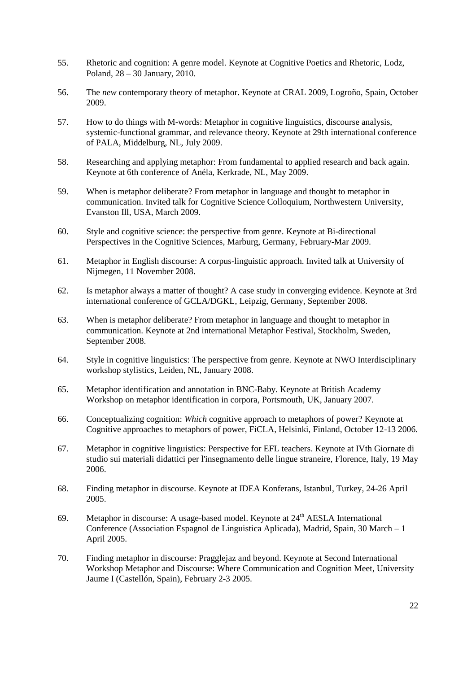- 55. Rhetoric and cognition: A genre model. Keynote at Cognitive Poetics and Rhetoric, Lodz, Poland, 28 – 30 January, 2010.
- 56. The *new* contemporary theory of metaphor. Keynote at CRAL 2009, Logroño, Spain, October 2009.
- 57. How to do things with M-words: Metaphor in cognitive linguistics, discourse analysis, systemic-functional grammar, and relevance theory. Keynote at 29th international conference of PALA, Middelburg, NL, July 2009.
- 58. Researching and applying metaphor: From fundamental to applied research and back again. Keynote at 6th conference of Anéla, Kerkrade, NL, May 2009.
- 59. When is metaphor deliberate? From metaphor in language and thought to metaphor in communication. Invited talk for Cognitive Science Colloquium, Northwestern University, Evanston Ill, USA, March 2009.
- 60. Style and cognitive science: the perspective from genre. Keynote at Bi-directional Perspectives in the Cognitive Sciences, Marburg, Germany, February-Mar 2009.
- 61. Metaphor in English discourse: A corpus-linguistic approach. Invited talk at University of Nijmegen, 11 November 2008.
- 62. Is metaphor always a matter of thought? A case study in converging evidence. Keynote at 3rd international conference of GCLA/DGKL, Leipzig, Germany, September 2008.
- 63. When is metaphor deliberate? From metaphor in language and thought to metaphor in communication. Keynote at 2nd international Metaphor Festival, Stockholm, Sweden, September 2008.
- 64. Style in cognitive linguistics: The perspective from genre. Keynote at NWO Interdisciplinary workshop stylistics, Leiden, NL, January 2008.
- 65. Metaphor identification and annotation in BNC-Baby. Keynote at British Academy Workshop on metaphor identification in corpora, Portsmouth, UK, January 2007.
- 66. Conceptualizing cognition: *Which* cognitive approach to metaphors of power? Keynote at Cognitive approaches to metaphors of power, FiCLA, Helsinki, Finland, October 12-13 2006.
- 67. Metaphor in cognitive linguistics: Perspective for EFL teachers. Keynote at IVth Giornate di studio sui materiali didattici per l'insegnamento delle lingue straneire, Florence, Italy, 19 May 2006.
- 68. Finding metaphor in discourse. Keynote at IDEA Konferans, Istanbul, Turkey, 24-26 April 2005.
- 69. Metaphor in discourse: A usage-based model. Keynote at  $24<sup>th</sup> AESLA$  International Conference (Association Espagnol de Linguistica Aplicada), Madrid, Spain, 30 March – 1 April 2005.
- 70. Finding metaphor in discourse: Pragglejaz and beyond. Keynote at Second International Workshop Metaphor and Discourse: Where Communication and Cognition Meet, University Jaume I (Castellón, Spain), February 2-3 2005.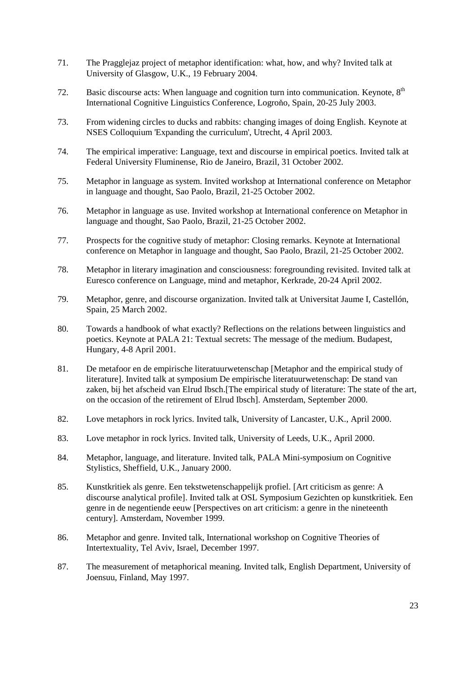- 71. The Pragglejaz project of metaphor identification: what, how, and why? Invited talk at University of Glasgow, U.K., 19 February 2004.
- 72. Basic discourse acts: When language and cognition turn into communication. Keynote,  $8<sup>th</sup>$ International Cognitive Linguistics Conference, Logroňo, Spain, 20-25 July 2003.
- 73. From widening circles to ducks and rabbits: changing images of doing English. Keynote at NSES Colloquium 'Expanding the curriculum', Utrecht, 4 April 2003.
- 74. The empirical imperative: Language, text and discourse in empirical poetics. Invited talk at Federal University Fluminense, Rio de Janeiro, Brazil, 31 October 2002.
- 75. Metaphor in language as system. Invited workshop at International conference on Metaphor in language and thought, Sao Paolo, Brazil, 21-25 October 2002.
- 76. Metaphor in language as use. Invited workshop at International conference on Metaphor in language and thought, Sao Paolo, Brazil, 21-25 October 2002.
- 77. Prospects for the cognitive study of metaphor: Closing remarks. Keynote at International conference on Metaphor in language and thought, Sao Paolo, Brazil, 21-25 October 2002.
- 78. Metaphor in literary imagination and consciousness: foregrounding revisited. Invited talk at Euresco conference on Language, mind and metaphor, Kerkrade, 20-24 April 2002.
- 79. Metaphor, genre, and discourse organization. Invited talk at Universitat Jaume I, Castellón, Spain, 25 March 2002.
- 80. Towards a handbook of what exactly? Reflections on the relations between linguistics and poetics. Keynote at PALA 21: Textual secrets: The message of the medium. Budapest, Hungary, 4-8 April 2001.
- 81. De metafoor en de empirische literatuurwetenschap [Metaphor and the empirical study of literature]. Invited talk at symposium De empirische literatuurwetenschap: De stand van zaken, bij het afscheid van Elrud Ibsch.[The empirical study of literature: The state of the art, on the occasion of the retirement of Elrud Ibsch]. Amsterdam, September 2000.
- 82. Love metaphors in rock lyrics. Invited talk, University of Lancaster, U.K., April 2000.
- 83. Love metaphor in rock lyrics. Invited talk, University of Leeds, U.K., April 2000.
- 84. Metaphor, language, and literature. Invited talk, PALA Mini-symposium on Cognitive Stylistics, Sheffield, U.K., January 2000.
- 85. Kunstkritiek als genre. Een tekstwetenschappelijk profiel. [Art criticism as genre: A discourse analytical profile]. Invited talk at OSL Symposium Gezichten op kunstkritiek. Een genre in de negentiende eeuw [Perspectives on art criticism: a genre in the nineteenth century]. Amsterdam, November 1999.
- 86. Metaphor and genre. Invited talk, International workshop on Cognitive Theories of Intertextuality, Tel Aviv, Israel, December 1997.
- 87. The measurement of metaphorical meaning. Invited talk, English Department, University of Joensuu, Finland, May 1997.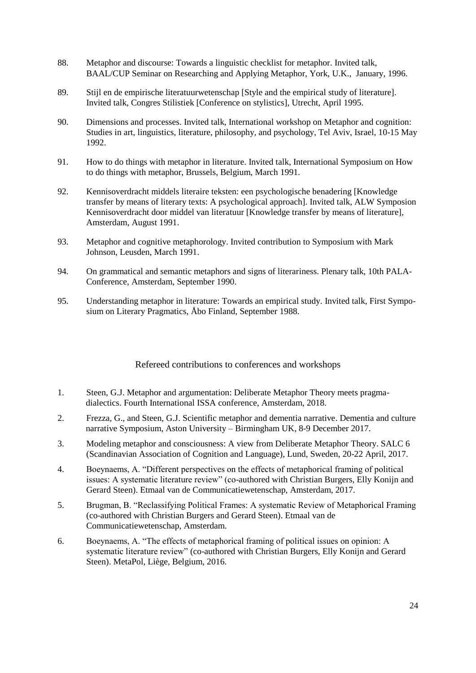- 88. Metaphor and discourse: Towards a linguistic checklist for metaphor. Invited talk, BAAL/CUP Seminar on Researching and Applying Metaphor, York, U.K., January, 1996.
- 89. Stijl en de empirische literatuurwetenschap [Style and the empirical study of literature]. Invited talk, Congres Stilistiek [Conference on stylistics], Utrecht, April 1995.
- 90. Dimensions and processes. Invited talk, International workshop on Metaphor and cognition: Studies in art, linguistics, literature, philosophy, and psychology, Tel Aviv, Israel, 10-15 May 1992.
- 91. How to do things with metaphor in literature. Invited talk, International Symposium on How to do things with metaphor, Brussels, Belgium, March 1991.
- 92. Kennisoverdracht middels literaire teksten: een psychologische benadering [Knowledge transfer by means of literary texts: A psychological approach]. Invited talk, ALW Symposion Kennisoverdracht door middel van literatuur [Knowledge transfer by means of literature], Amsterdam, August 1991.
- 93. Metaphor and cognitive metaphorology. Invited contribution to Symposium with Mark Johnson, Leusden, March 1991.
- 94. On grammatical and semantic metaphors and signs of literariness. Plenary talk, 10th PALA-Conference, Amsterdam, September 1990.
- 95. Understanding metaphor in literature: Towards an empirical study. Invited talk, First Symposium on Literary Pragmatics, Åbo Finland, September 1988.

### Refereed contributions to conferences and workshops

- <span id="page-23-0"></span>1. Steen, G.J. Metaphor and argumentation: Deliberate Metaphor Theory meets pragmadialectics. Fourth International ISSA conference, Amsterdam, 2018.
- 2. Frezza, G., and Steen, G.J. Scientific metaphor and dementia narrative. Dementia and culture narrative Symposium, Aston University – Birmingham UK, 8-9 December 2017.
- 3. Modeling metaphor and consciousness: A view from Deliberate Metaphor Theory. SALC 6 (Scandinavian Association of Cognition and Language), Lund, Sweden, 20-22 April, 2017.
- 4. Boeynaems, A. "Different perspectives on the effects of metaphorical framing of political issues: A systematic literature review" (co-authored with Christian Burgers, Elly Konijn and Gerard Steen). Etmaal van de Communicatiewetenschap, Amsterdam, 2017.
- 5. Brugman, B. "Reclassifying Political Frames: A systematic Review of Metaphorical Framing (co-authored with Christian Burgers and Gerard Steen). Etmaal van de Communicatiewetenschap, Amsterdam.
- 6. Boeynaems, A. "The effects of metaphorical framing of political issues on opinion: A systematic literature review" (co-authored with Christian Burgers, Elly Konijn and Gerard Steen). MetaPol, Liège, Belgium, 2016.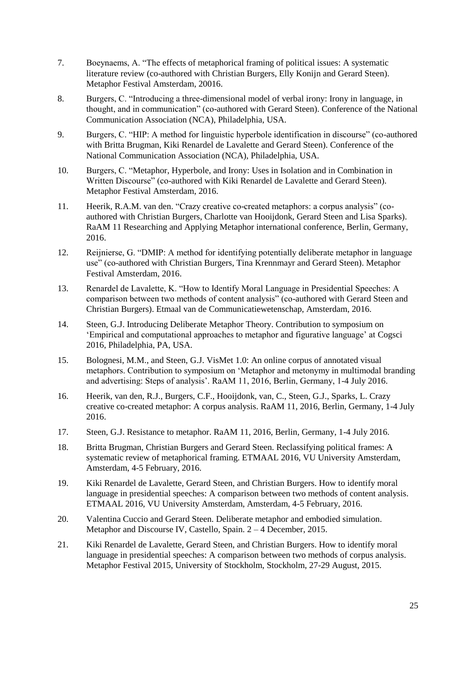- 7. Boeynaems, A. "The effects of metaphorical framing of political issues: A systematic literature review (co-authored with Christian Burgers, Elly Konijn and Gerard Steen). Metaphor Festival Amsterdam, 20016.
- 8. Burgers, C. "Introducing a three-dimensional model of verbal irony: Irony in language, in thought, and in communication" (co-authored with Gerard Steen). Conference of the National Communication Association (NCA), Philadelphia, USA.
- 9. Burgers, C. "HIP: A method for linguistic hyperbole identification in discourse" (co-authored with Britta Brugman, Kiki Renardel de Lavalette and Gerard Steen). Conference of the National Communication Association (NCA), Philadelphia, USA.
- 10. Burgers, C. "Metaphor, Hyperbole, and Irony: Uses in Isolation and in Combination in Written Discourse" (co-authored with Kiki Renardel de Lavalette and Gerard Steen). Metaphor Festival Amsterdam, 2016.
- 11. Heerik, R.A.M. van den. "Crazy creative co-created metaphors: a corpus analysis" (coauthored with Christian Burgers, Charlotte van Hooijdonk, Gerard Steen and Lisa Sparks). RaAM 11 Researching and Applying Metaphor international conference, Berlin, Germany, 2016.
- 12. Reijnierse, G. "DMIP: A method for identifying potentially deliberate metaphor in language use" (co-authored with Christian Burgers, Tina Krennmayr and Gerard Steen). Metaphor Festival Amsterdam, 2016.
- 13. Renardel de Lavalette, K. "How to Identify Moral Language in Presidential Speeches: A comparison between two methods of content analysis" (co-authored with Gerard Steen and Christian Burgers). Etmaal van de Communicatiewetenschap, Amsterdam, 2016.
- 14. Steen, G.J. Introducing Deliberate Metaphor Theory. Contribution to symposium on 'Empirical and computational approaches to metaphor and figurative language' at Cogsci 2016, Philadelphia, PA, USA.
- 15. Bolognesi, M.M., and Steen, G.J. VisMet 1.0: An online corpus of annotated visual metaphors. Contribution to symposium on 'Metaphor and metonymy in multimodal branding and advertising: Steps of analysis'. RaAM 11, 2016, Berlin, Germany, 1-4 July 2016.
- 16. Heerik, van den, R.J., Burgers, C.F., Hooijdonk, van, C., Steen, G.J., Sparks, L. Crazy creative co-created metaphor: A corpus analysis. RaAM 11, 2016, Berlin, Germany, 1-4 July 2016.
- 17. Steen, G.J. Resistance to metaphor. RaAM 11, 2016, Berlin, Germany, 1-4 July 2016.
- 18. Britta Brugman, Christian Burgers and Gerard Steen. Reclassifying political frames: A systematic review of metaphorical framing. ETMAAL 2016, VU University Amsterdam, Amsterdam, 4-5 February, 2016.
- 19. Kiki Renardel de Lavalette, Gerard Steen, and Christian Burgers. How to identify moral language in presidential speeches: A comparison between two methods of content analysis. ETMAAL 2016, VU University Amsterdam, Amsterdam, 4-5 February, 2016.
- 20. Valentina Cuccio and Gerard Steen. Deliberate metaphor and embodied simulation. Metaphor and Discourse IV, Castello, Spain. 2 – 4 December, 2015.
- 21. Kiki Renardel de Lavalette, Gerard Steen, and Christian Burgers. How to identify moral language in presidential speeches: A comparison between two methods of corpus analysis. Metaphor Festival 2015, University of Stockholm, Stockholm, 27-29 August, 2015.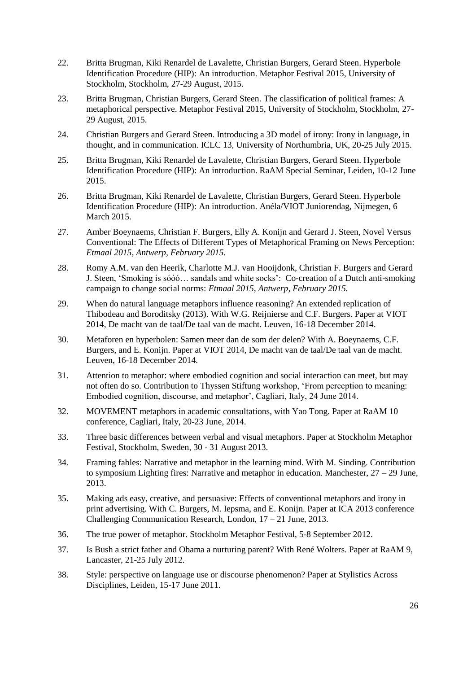- 22. Britta Brugman, Kiki Renardel de Lavalette, Christian Burgers, Gerard Steen. Hyperbole Identification Procedure (HIP): An introduction. Metaphor Festival 2015, University of Stockholm, Stockholm, 27-29 August, 2015.
- 23. Britta Brugman, Christian Burgers, Gerard Steen. The classification of political frames: A metaphorical perspective. Metaphor Festival 2015, University of Stockholm, Stockholm, 27- 29 August, 2015.
- 24. Christian Burgers and Gerard Steen. Introducing a 3D model of irony: Irony in language, in thought, and in communication. ICLC 13, University of Northumbria, UK, 20-25 July 2015.
- 25. Britta Brugman, Kiki Renardel de Lavalette, Christian Burgers, Gerard Steen. Hyperbole Identification Procedure (HIP): An introduction. RaAM Special Seminar, Leiden, 10-12 June 2015.
- 26. Britta Brugman, Kiki Renardel de Lavalette, Christian Burgers, Gerard Steen. Hyperbole Identification Procedure (HIP): An introduction. Anéla/VIOT Juniorendag, Nijmegen, 6 March 2015.
- 27. Amber Boeynaems, Christian F. Burgers, Elly A. Konijn and Gerard J. Steen, Novel Versus Conventional: The Effects of Different Types of Metaphorical Framing on News Perception: *Etmaal 2015, Antwerp, February 2015.*
- 28. Romy A.M. van den Heerik, Charlotte M.J. van Hooijdonk, Christian F. Burgers and Gerard J. Steen, 'Smoking is sóóó… sandals and white socks': Co-creation of a Dutch anti-smoking campaign to change social norms: *Etmaal 2015, Antwerp, February 2015.*
- 29. When do natural language metaphors influence reasoning? An extended replication of Thibodeau and Boroditsky (2013). With W.G. Reijnierse and C.F. Burgers. Paper at VIOT 2014, De macht van de taal/De taal van de macht. Leuven, 16-18 December 2014.
- 30. Metaforen en hyperbolen: Samen meer dan de som der delen? With A. Boeynaems, C.F. Burgers, and E. Konijn. Paper at VIOT 2014, De macht van de taal/De taal van de macht. Leuven, 16-18 December 2014.
- 31. Attention to metaphor: where embodied cognition and social interaction can meet, but may not often do so. Contribution to Thyssen Stiftung workshop, 'From perception to meaning: Embodied cognition, discourse, and metaphor', Cagliari, Italy, 24 June 2014.
- 32. MOVEMENT metaphors in academic consultations, with Yao Tong. Paper at RaAM 10 conference, Cagliari, Italy, 20-23 June, 2014.
- 33. Three basic differences between verbal and visual metaphors. Paper at Stockholm Metaphor Festival, Stockholm, Sweden, 30 - 31 August 2013.
- 34. Framing fables: Narrative and metaphor in the learning mind. With M. Sinding. Contribution to symposium Lighting fires: Narrative and metaphor in education. Manchester,  $27 - 29$  June, 2013.
- 35. Making ads easy, creative, and persuasive: Effects of conventional metaphors and irony in print advertising. With C. Burgers, M. Iepsma, and E. Konijn. Paper at ICA 2013 conference Challenging Communication Research, London, 17 – 21 June, 2013.
- 36. The true power of metaphor. Stockholm Metaphor Festival, 5-8 September 2012.
- 37. Is Bush a strict father and Obama a nurturing parent? With René Wolters. Paper at RaAM 9, Lancaster, 21-25 July 2012.
- 38. Style: perspective on language use or discourse phenomenon? Paper at Stylistics Across Disciplines, Leiden, 15-17 June 2011.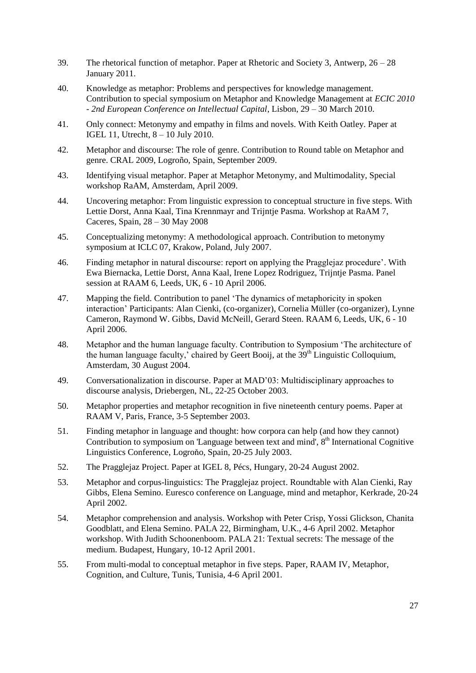- 39. The rhetorical function of metaphor. Paper at Rhetoric and Society 3, Antwerp, 26 28 January 2011.
- 40. Knowledge as metaphor: Problems and perspectives for knowledge management. Contribution to special symposium on Metaphor and Knowledge Management at *ECIC 2010 - 2nd European Conference on Intellectual Capital*, Lisbon, 29 – 30 March 2010.
- 41. Only connect: Metonymy and empathy in films and novels. With Keith Oatley. Paper at IGEL 11, Utrecht, 8 – 10 July 2010.
- 42. Metaphor and discourse: The role of genre. Contribution to Round table on Metaphor and genre. CRAL 2009, Logroño, Spain, September 2009.
- 43. Identifying visual metaphor. Paper at Metaphor Metonymy, and Multimodality, Special workshop RaAM, Amsterdam, April 2009.
- 44. Uncovering metaphor: From linguistic expression to conceptual structure in five steps. With Lettie Dorst, Anna Kaal, Tina Krennmayr and Trijntje Pasma. Workshop at RaAM 7, Caceres, Spain, 28 – 30 May 2008
- 45. Conceptualizing metonymy: A methodological approach. Contribution to metonymy symposium at ICLC 07, Krakow, Poland, July 2007.
- 46. Finding metaphor in natural discourse: report on applying the Pragglejaz procedure'. With Ewa Biernacka, Lettie Dorst, Anna Kaal, Irene Lopez Rodriguez, Trijntje Pasma. Panel session at RAAM 6, Leeds, UK, 6 - 10 April 2006.
- 47. Mapping the field. Contribution to panel 'The dynamics of metaphoricity in spoken interaction' Participants: Alan Cienki, (co-organizer), Cornelia Müller (co-organizer), Lynne Cameron, Raymond W. Gibbs, David McNeill, Gerard Steen. RAAM 6, Leeds, UK, 6 - 10 April 2006.
- 48. Metaphor and the human language faculty. Contribution to Symposium 'The architecture of the human language faculty,' chaired by Geert Booij, at the  $39<sup>th</sup>$  Linguistic Colloquium, Amsterdam, 30 August 2004.
- 49. Conversationalization in discourse. Paper at MAD'03: Multidisciplinary approaches to discourse analysis, Driebergen, NL, 22-25 October 2003.
- 50. Metaphor properties and metaphor recognition in five nineteenth century poems. Paper at RAAM V, Paris, France, 3-5 September 2003.
- 51. Finding metaphor in language and thought: how corpora can help (and how they cannot) Contribution to symposium on 'Language between text and mind', 8<sup>th</sup> International Cognitive Linguistics Conference, Logroňo, Spain, 20-25 July 2003.
- 52. The Pragglejaz Project. Paper at IGEL 8, Pécs, Hungary, 20-24 August 2002.
- 53. Metaphor and corpus-linguistics: The Pragglejaz project. Roundtable with Alan Cienki, Ray Gibbs, Elena Semino. Euresco conference on Language, mind and metaphor, Kerkrade, 20-24 April 2002.
- 54. Metaphor comprehension and analysis. Workshop with Peter Crisp, Yossi Glickson, Chanita Goodblatt, and Elena Semino. PALA 22, Birmingham, U.K., 4-6 April 2002. Metaphor workshop. With Judith Schoonenboom. PALA 21: Textual secrets: The message of the medium. Budapest, Hungary, 10-12 April 2001.
- 55. From multi-modal to conceptual metaphor in five steps. Paper, RAAM IV, Metaphor, Cognition, and Culture, Tunis, Tunisia, 4-6 April 2001.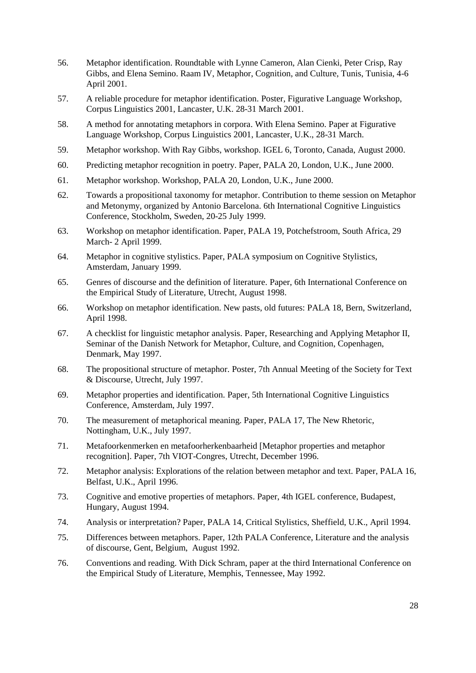- 56. Metaphor identification. Roundtable with Lynne Cameron, Alan Cienki, Peter Crisp, Ray Gibbs, and Elena Semino. Raam IV, Metaphor, Cognition, and Culture, Tunis, Tunisia, 4-6 April 2001.
- 57. A reliable procedure for metaphor identification. Poster, Figurative Language Workshop, Corpus Linguistics 2001, Lancaster, U.K. 28-31 March 2001.
- 58. A method for annotating metaphors in corpora. With Elena Semino. Paper at Figurative Language Workshop, Corpus Linguistics 2001, Lancaster, U.K., 28-31 March.
- 59. Metaphor workshop. With Ray Gibbs, workshop. IGEL 6, Toronto, Canada, August 2000.
- 60. Predicting metaphor recognition in poetry. Paper, PALA 20, London, U.K., June 2000.
- 61. Metaphor workshop. Workshop, PALA 20, London, U.K., June 2000.
- 62. Towards a propositional taxonomy for metaphor. Contribution to theme session on Metaphor and Metonymy, organized by Antonio Barcelona. 6th International Cognitive Linguistics Conference, Stockholm, Sweden, 20-25 July 1999.
- 63. Workshop on metaphor identification. Paper, PALA 19, Potchefstroom, South Africa, 29 March- 2 April 1999.
- 64. Metaphor in cognitive stylistics. Paper, PALA symposium on Cognitive Stylistics, Amsterdam, January 1999.
- 65. Genres of discourse and the definition of literature. Paper, 6th International Conference on the Empirical Study of Literature, Utrecht, August 1998.
- 66. Workshop on metaphor identification. New pasts, old futures: PALA 18, Bern, Switzerland, April 1998.
- 67. A checklist for linguistic metaphor analysis. Paper, Researching and Applying Metaphor II, Seminar of the Danish Network for Metaphor, Culture, and Cognition, Copenhagen, Denmark, May 1997.
- 68. The propositional structure of metaphor. Poster, 7th Annual Meeting of the Society for Text & Discourse, Utrecht, July 1997.
- 69. Metaphor properties and identification. Paper, 5th International Cognitive Linguistics Conference, Amsterdam, July 1997.
- 70. The measurement of metaphorical meaning. Paper, PALA 17, The New Rhetoric, Nottingham, U.K., July 1997.
- 71. Metafoorkenmerken en metafoorherkenbaarheid [Metaphor properties and metaphor recognition]. Paper, 7th VIOT-Congres, Utrecht, December 1996.
- 72. Metaphor analysis: Explorations of the relation between metaphor and text. Paper, PALA 16, Belfast, U.K., April 1996.
- 73. Cognitive and emotive properties of metaphors. Paper, 4th IGEL conference, Budapest, Hungary, August 1994.
- 74. Analysis or interpretation? Paper, PALA 14, Critical Stylistics, Sheffield, U.K., April 1994.
- 75. Differences between metaphors. Paper, 12th PALA Conference, Literature and the analysis of discourse, Gent, Belgium, August 1992.
- 76. Conventions and reading. With Dick Schram, paper at the third International Conference on the Empirical Study of Literature, Memphis, Tennessee, May 1992.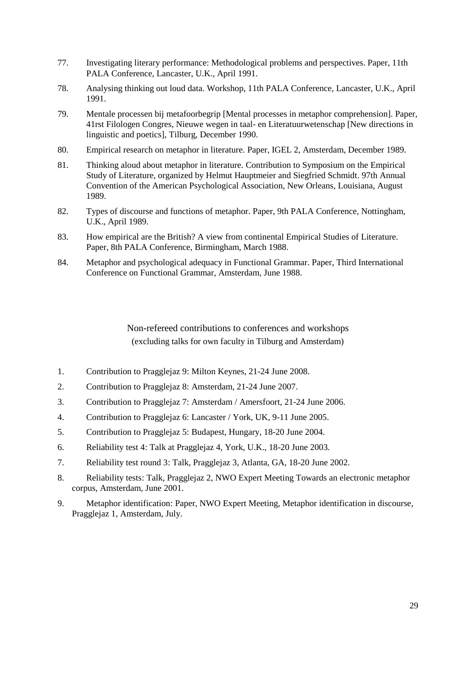- 77. Investigating literary performance: Methodological problems and perspectives. Paper, 11th PALA Conference, Lancaster, U.K., April 1991.
- 78. Analysing thinking out loud data. Workshop, 11th PALA Conference, Lancaster, U.K., April 1991.
- 79. Mentale processen bij metafoorbegrip [Mental processes in metaphor comprehension]. Paper, 41rst Filologen Congres, Nieuwe wegen in taal- en Literatuurwetenschap [New directions in linguistic and poetics], Tilburg, December 1990.
- 80. Empirical research on metaphor in literature. Paper, IGEL 2, Amsterdam, December 1989.
- 81. Thinking aloud about metaphor in literature. Contribution to Symposium on the Empirical Study of Literature, organized by Helmut Hauptmeier and Siegfried Schmidt. 97th Annual Convention of the American Psychological Association, New Orleans, Louisiana, August 1989.
- 82. Types of discourse and functions of metaphor. Paper, 9th PALA Conference, Nottingham, U.K., April 1989.
- 83. How empirical are the British? A view from continental Empirical Studies of Literature. Paper, 8th PALA Conference, Birmingham, March 1988.
- 84. Metaphor and psychological adequacy in Functional Grammar. Paper, Third International Conference on Functional Grammar, Amsterdam, June 1988.

Non-refereed contributions to conferences and workshops (excluding talks for own faculty in Tilburg and Amsterdam)

- <span id="page-28-0"></span>1. Contribution to Pragglejaz 9: Milton Keynes, 21-24 June 2008.
- 2. Contribution to Pragglejaz 8: Amsterdam, 21-24 June 2007.
- 3. Contribution to Pragglejaz 7: Amsterdam / Amersfoort, 21-24 June 2006.
- 4. Contribution to Pragglejaz 6: Lancaster / York, UK, 9-11 June 2005.
- 5. Contribution to Pragglejaz 5: Budapest, Hungary, 18-20 June 2004.
- 6. Reliability test 4: Talk at Pragglejaz 4, York, U.K., 18-20 June 2003.
- 7. Reliability test round 3: Talk, Pragglejaz 3, Atlanta, GA, 18-20 June 2002.
- 8. Reliability tests: Talk, Pragglejaz 2, NWO Expert Meeting Towards an electronic metaphor corpus, Amsterdam, June 2001.
- 9. Metaphor identification: Paper, NWO Expert Meeting, Metaphor identification in discourse, Pragglejaz 1, Amsterdam, July.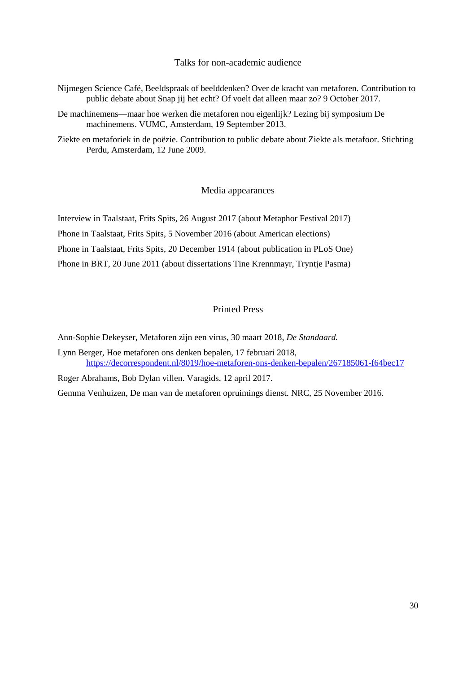Talks for non-academic audience

- <span id="page-29-0"></span>Nijmegen Science Café, Beeldspraak of beelddenken? Over de kracht van metaforen. Contribution to public debate about Snap jij het echt? Of voelt dat alleen maar zo? 9 October 2017.
- De machinemens—maar hoe werken die metaforen nou eigenlijk? Lezing bij symposium De machinemens. VUMC, Amsterdam, 19 September 2013.
- Ziekte en metaforiek in de poëzie. Contribution to public debate about Ziekte als metafoor. Stichting Perdu, Amsterdam, 12 June 2009.

Media appearances

<span id="page-29-1"></span>Interview in Taalstaat, Frits Spits, 26 August 2017 (about Metaphor Festival 2017) Phone in Taalstaat, Frits Spits, 5 November 2016 (about American elections) Phone in Taalstaat, Frits Spits, 20 December 1914 (about publication in PLoS One) Phone in BRT, 20 June 2011 (about dissertations Tine Krennmayr, Tryntje Pasma)

## Printed Press

<span id="page-29-2"></span>Ann-Sophie Dekeyser, Metaforen zijn een virus, 30 maart 2018, *De Standaard.*

Lynn Berger, Hoe metaforen ons denken bepalen, 17 februari 2018, <https://decorrespondent.nl/8019/hoe-metaforen-ons-denken-bepalen/267185061-f64bec17>

Roger Abrahams, Bob Dylan villen. Varagids, 12 april 2017.

Gemma Venhuizen, De man van de metaforen opruimings dienst. NRC, 25 November 2016.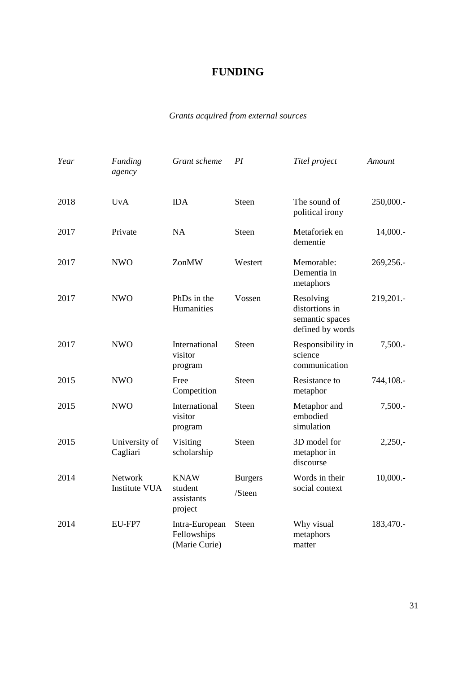## **FUNDING**

## *Grants acquired from external sources*

<span id="page-30-0"></span>

| Year | <b>Funding</b><br>agency        | Grant scheme                                    | PI                       | Titel project                                                      | Amount      |
|------|---------------------------------|-------------------------------------------------|--------------------------|--------------------------------------------------------------------|-------------|
| 2018 | <b>UvA</b>                      | <b>IDA</b>                                      | Steen                    | The sound of<br>political irony                                    | 250,000 .-  |
| 2017 | Private                         | <b>NA</b>                                       | <b>Steen</b>             | Metaforiek en<br>dementie                                          | $14,000. -$ |
| 2017 | <b>NWO</b>                      | ZonMW                                           | Westert                  | Memorable:<br>Dementia in<br>metaphors                             | 269,256.-   |
| 2017 | <b>NWO</b>                      | PhDs in the<br>Humanities                       | Vossen                   | Resolving<br>distortions in<br>semantic spaces<br>defined by words | 219,201.-   |
| 2017 | <b>NWO</b>                      | International<br>visitor<br>program             | Steen                    | Responsibility in<br>science<br>communication                      | $7,500. -$  |
| 2015 | <b>NWO</b>                      | Free<br>Competition                             | <b>Steen</b>             | Resistance to<br>metaphor                                          | 744,108.-   |
| 2015 | <b>NWO</b>                      | International<br>visitor<br>program             | <b>Steen</b>             | Metaphor and<br>embodied<br>simulation                             | $7,500. -$  |
| 2015 | University of<br>Cagliari       | Visiting<br>scholarship                         | Steen                    | 3D model for<br>metaphor in<br>discourse                           | $2,250,-$   |
| 2014 | Network<br><b>Institute VUA</b> | <b>KNAW</b><br>student<br>assistants<br>project | <b>Burgers</b><br>/Steen | Words in their<br>social context                                   | $10,000.$ - |
| 2014 | EU-FP7                          | Intra-European<br>Fellowships<br>(Marie Curie)  | Steen                    | Why visual<br>metaphors<br>matter                                  | 183,470.-   |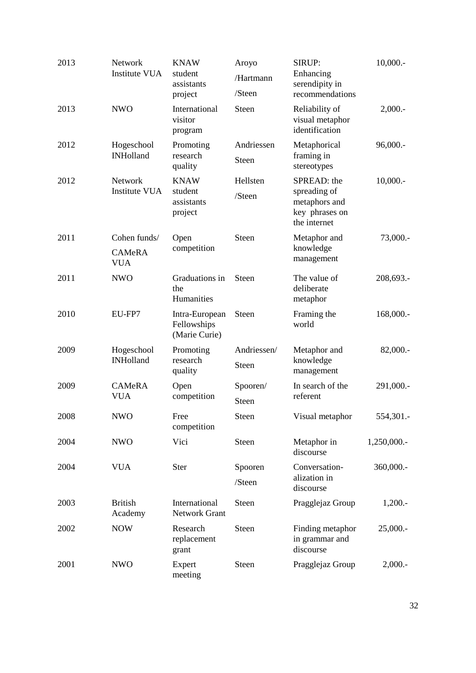| 2013 | Network<br><b>Institute VUA</b>             | <b>KNAW</b><br>student<br>assistants<br>project | Aroyo<br>/Hartmann<br>/Steen | SIRUP:<br>Enhancing<br>serendipity in<br>recommendations                       | $10,000.$ - |
|------|---------------------------------------------|-------------------------------------------------|------------------------------|--------------------------------------------------------------------------------|-------------|
| 2013 | <b>NWO</b>                                  | International<br>visitor<br>program             | Steen                        | Reliability of<br>visual metaphor<br>identification                            | 2,000.      |
| 2012 | Hogeschool<br><b>INHolland</b>              | Promoting<br>research<br>quality                | Andriessen<br><b>Steen</b>   | Metaphorical<br>framing in<br>stereotypes                                      | $96,000.$ - |
| 2012 | Network<br><b>Institute VUA</b>             | <b>KNAW</b><br>student<br>assistants<br>project | Hellsten<br>/Steen           | SPREAD: the<br>spreading of<br>metaphors and<br>key phrases on<br>the internet | $10,000.$ - |
| 2011 | Cohen funds/<br><b>CAMeRA</b><br><b>VUA</b> | Open<br>competition                             | <b>Steen</b>                 | Metaphor and<br>knowledge<br>management                                        | 73,000.-    |
| 2011 | <b>NWO</b>                                  | Graduations in<br>the<br>Humanities             | <b>Steen</b>                 | The value of<br>deliberate<br>metaphor                                         | 208,693.-   |
| 2010 | EU-FP7                                      | Intra-European<br>Fellowships<br>(Marie Curie)  | Steen                        | Framing the<br>world                                                           | 168,000.-   |
| 2009 | Hogeschool<br><b>INHolland</b>              | Promoting<br>research<br>quality                | Andriessen/<br>Steen         | Metaphor and<br>knowledge<br>management                                        | 82,000.-    |
| 2009 | CAMeRA<br><b>VUA</b>                        | Open<br>competition                             | Spooren/<br>Steen            | In search of the<br>referent                                                   | 291,000.-   |
| 2008 | <b>NWO</b>                                  | Free<br>competition                             | Steen                        | Visual metaphor                                                                | 554,301.-   |
| 2004 | <b>NWO</b>                                  | Vici                                            | Steen                        | Metaphor in<br>discourse                                                       | 1,250,000.- |
| 2004 | <b>VUA</b>                                  | <b>Ster</b>                                     | Spooren<br>/Steen            | Conversation-<br>alization in<br>discourse                                     | 360,000.-   |
| 2003 | <b>British</b><br>Academy                   | International<br><b>Network Grant</b>           | <b>Steen</b>                 | Pragglejaz Group                                                               | $1,200. -$  |
| 2002 | <b>NOW</b>                                  | Research<br>replacement<br>grant                | <b>Steen</b>                 | Finding metaphor<br>in grammar and<br>discourse                                | 25,000.     |
| 2001 | <b>NWO</b>                                  | Expert<br>meeting                               | Steen                        | Pragglejaz Group                                                               | 2,000.      |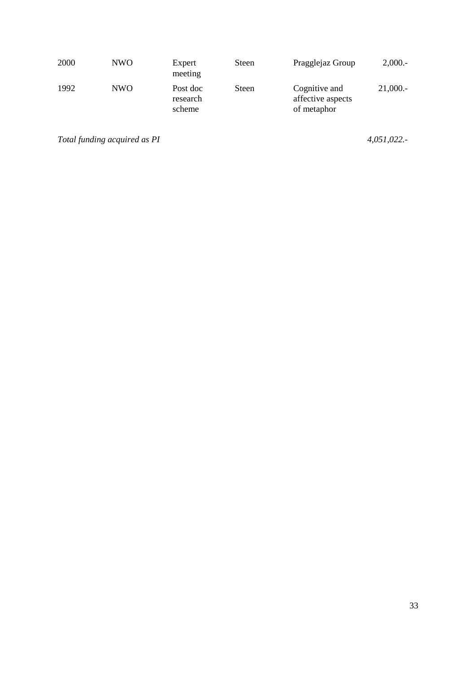| 2000 | NW <sub>O</sub> | Expert<br>meeting              | <b>Steen</b> | Pragglejaz Group                                  | 2,000.  |
|------|-----------------|--------------------------------|--------------|---------------------------------------------------|---------|
| 1992 | NW <sub>O</sub> | Post doc<br>research<br>scheme | Steen        | Cognitive and<br>affective aspects<br>of metaphor | 21,000. |

*Total funding acquired as PI 4,051,022.-*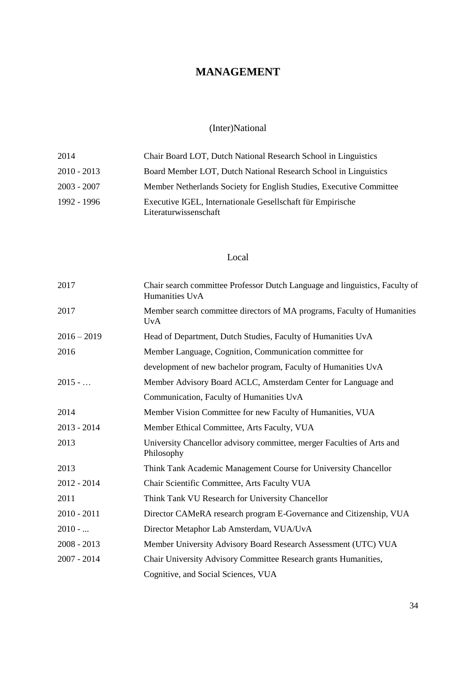## **MANAGEMENT**

## (Inter)National

<span id="page-33-1"></span><span id="page-33-0"></span>

| 2014          | Chair Board LOT, Dutch National Research School in Linguistics                      |
|---------------|-------------------------------------------------------------------------------------|
| $2010 - 2013$ | Board Member LOT, Dutch National Research School in Linguistics                     |
| $2003 - 2007$ | Member Netherlands Society for English Studies, Executive Committee                 |
| 1992 - 1996   | Executive IGEL, Internationale Gesellschaft für Empirische<br>Literaturwissenschaft |

## Local

<span id="page-33-2"></span>

| 2017          | Chair search committee Professor Dutch Language and linguistics, Faculty of<br>Humanities UvA |
|---------------|-----------------------------------------------------------------------------------------------|
| 2017          | Member search committee directors of MA programs, Faculty of Humanities<br><b>UvA</b>         |
| $2016 - 2019$ | Head of Department, Dutch Studies, Faculty of Humanities UvA                                  |
| 2016          | Member Language, Cognition, Communication committee for                                       |
|               | development of new bachelor program, Faculty of Humanities UvA                                |
| $2015 - $     | Member Advisory Board ACLC, Amsterdam Center for Language and                                 |
|               | Communication, Faculty of Humanities UvA                                                      |
| 2014          | Member Vision Committee for new Faculty of Humanities, VUA                                    |
| $2013 - 2014$ | Member Ethical Committee, Arts Faculty, VUA                                                   |
| 2013          | University Chancellor advisory committee, merger Faculties of Arts and<br>Philosophy          |
| 2013          | Think Tank Academic Management Course for University Chancellor                               |
| $2012 - 2014$ | Chair Scientific Committee, Arts Faculty VUA                                                  |
| 2011          | Think Tank VU Research for University Chancellor                                              |
| $2010 - 2011$ | Director CAMeRA research program E-Governance and Citizenship, VUA                            |
| $2010 - $     | Director Metaphor Lab Amsterdam, VUA/UvA                                                      |
| $2008 - 2013$ | Member University Advisory Board Research Assessment (UTC) VUA                                |
| $2007 - 2014$ | Chair University Advisory Committee Research grants Humanities,                               |
|               | Cognitive, and Social Sciences, VUA                                                           |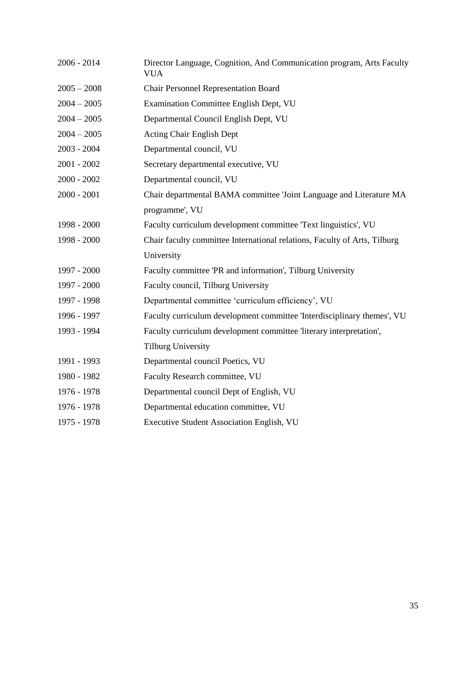| $2006 - 2014$ | Director Language, Cognition, And Communication program, Arts Faculty<br><b>VUA</b> |
|---------------|-------------------------------------------------------------------------------------|
| $2005 - 2008$ | <b>Chair Personnel Representation Board</b>                                         |
| $2004 - 2005$ | Examination Committee English Dept, VU                                              |
| $2004 - 2005$ | Departmental Council English Dept, VU                                               |
| $2004 - 2005$ | Acting Chair English Dept                                                           |
| $2003 - 2004$ | Departmental council, VU                                                            |
| $2001 - 2002$ | Secretary departmental executive, VU                                                |
| $2000 - 2002$ | Departmental council, VU                                                            |
| $2000 - 2001$ | Chair departmental BAMA committee 'Joint Language and Literature MA                 |
|               | programme', VU                                                                      |
| 1998 - 2000   | Faculty curriculum development committee 'Text linguistics', VU                     |
| 1998 - 2000   | Chair faculty committee International relations, Faculty of Arts, Tilburg           |
|               | University                                                                          |
| 1997 - 2000   | Faculty committee 'PR and information', Tilburg University                          |
| 1997 - 2000   | Faculty council, Tilburg University                                                 |
| 1997 - 1998   | Departmental committee 'curriculum efficiency', VU                                  |
| 1996 - 1997   | Faculty curriculum development committee 'Interdisciplinary themes', VU             |
| 1993 - 1994   | Faculty curriculum development committee 'literary interpretation',                 |
|               | <b>Tilburg University</b>                                                           |
| 1991 - 1993   | Departmental council Poetics, VU                                                    |
| 1980 - 1982   | Faculty Research committee, VU                                                      |
| 1976 - 1978   | Departmental council Dept of English, VU                                            |
| 1976 - 1978   | Departmental education committee, VU                                                |
| 1975 - 1978   | <b>Executive Student Association English, VU</b>                                    |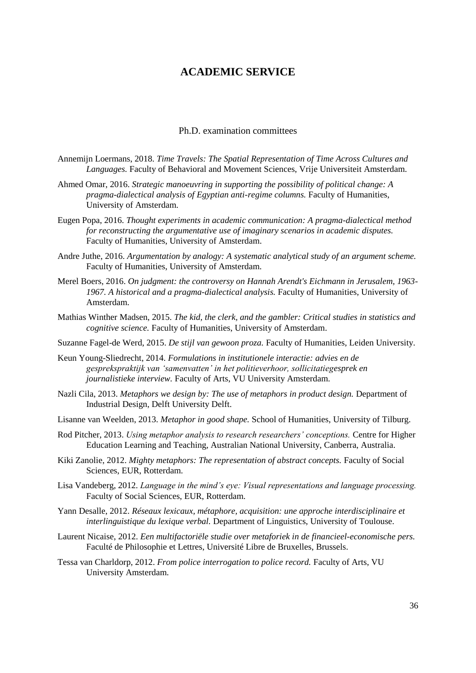## **ACADEMIC SERVICE**

### Ph.D. examination committees

- <span id="page-35-1"></span><span id="page-35-0"></span>Annemijn Loermans, 2018. *Time Travels: The Spatial Representation of Time Across Cultures and Languages.* Faculty of Behavioral and Movement Sciences, Vrije Universiteit Amsterdam.
- Ahmed Omar, 2016. *Strategic manoeuvring in supporting the possibility of political change: A pragma-dialectical analysis of Egyptian anti-regime columns.* Faculty of Humanities, University of Amsterdam.
- Eugen Popa, 2016. *Thought experiments in academic communication: A pragma-dialectical method for reconstructing the argumentative use of imaginary scenarios in academic disputes.*  Faculty of Humanities, University of Amsterdam.
- Andre Juthe, 2016. *Argumentation by analogy: A systematic analytical study of an argument scheme.* Faculty of Humanities, University of Amsterdam.
- Merel Boers, 2016. *On judgment: the controversy on Hannah Arendt's Eichmann in Jerusalem, 1963- 1967. A historical and a pragma-dialectical analysis.* Faculty of Humanities, University of Amsterdam.
- Mathias Winther Madsen, 2015. *The kid, the clerk, and the gambler: Critical studies in statistics and cognitive science.* Faculty of Humanities, University of Amsterdam.

Suzanne Fagel-de Werd, 2015. *De stijl van gewoon proza.* Faculty of Humanities, Leiden University.

- Keun Young-Sliedrecht, 2014. *Formulations in institutionele interactie: advies en de gesprekspraktijk van 'samenvatten' in het politieverhoor, sollicitatiegesprek en journalistieke interview.* Faculty of Arts, VU University Amsterdam.
- Nazli Cila, 2013. *Metaphors we design by: The use of metaphors in product design.* Department of Industrial Design, Delft University Delft.
- Lisanne van Weelden, 2013. *Metaphor in good shape.* School of Humanities, University of Tilburg.
- Rod Pitcher, 2013. *Using metaphor analysis to research researchers' conceptions.* Centre for Higher Education Learning and Teaching, Australian National University, Canberra, Australia.
- Kiki Zanolie, 2012. *Mighty metaphors: The representation of abstract concepts.* Faculty of Social Sciences, EUR, Rotterdam.
- Lisa Vandeberg, 2012. *Language in the mind's eye: Visual representations and language processing.* Faculty of Social Sciences, EUR, Rotterdam.
- Yann Desalle, 2012. *Réseaux lexicaux, métaphore, acquisition: une approche interdisciplinaire et interlinguistique du lexique verbal.* Department of Linguistics, University of Toulouse.
- Laurent Nicaise, 2012. *Een multifactoriële studie over metaforiek in de financieel-economische pers.* Faculté de Philosophie et Lettres, Université Libre de Bruxelles, Brussels.
- Tessa van Charldorp, 2012. *From police interrogation to police record.* Faculty of Arts, VU University Amsterdam.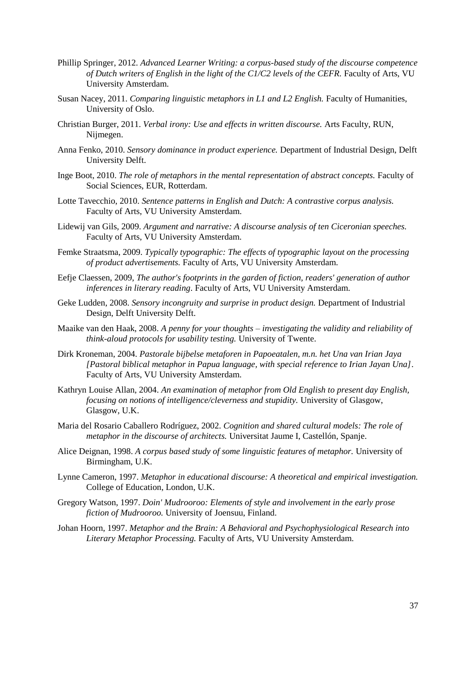- Phillip Springer, 2012. *Advanced Learner Writing: a corpus-based study of the discourse competence of Dutch writers of English in the light of the C1/C2 levels of the CEFR. Faculty of Arts, VU* University Amsterdam.
- Susan Nacey, 2011. *Comparing linguistic metaphors in L1 and L2 English*. Faculty of Humanities, University of Oslo.
- Christian Burger, 2011. *Verbal irony: Use and effects in written discourse.* Arts Faculty, RUN, Nijmegen.
- Anna Fenko, 2010. *Sensory dominance in product experience.* Department of Industrial Design, Delft University Delft.
- Inge Boot, 2010. *The role of metaphors in the mental representation of abstract concepts.* Faculty of Social Sciences, EUR, Rotterdam.
- Lotte Tavecchio, 2010. *Sentence patterns in English and Dutch: A contrastive corpus analysis.* Faculty of Arts, VU University Amsterdam.
- Lidewij van Gils, 2009. *Argument and narrative: A discourse analysis of ten Ciceronian speeches.*  Faculty of Arts, VU University Amsterdam.
- Femke Straatsma, 2009. *Typically typographic: The effects of typographic layout on the processing of product advertisements.* Faculty of Arts, VU University Amsterdam.
- Eefje Claessen, 2009, *The author's footprints in the garden of fiction, readers' generation of author inferences in literary reading*. Faculty of Arts, VU University Amsterdam.
- Geke Ludden, 2008. *Sensory incongruity and surprise in product design.* Department of Industrial Design, Delft University Delft.
- Maaike van den Haak, 2008. *A penny for your thoughts – investigating the validity and reliability of think-aloud protocols for usability testing.* University of Twente.
- Dirk Kroneman, 2004. *Pastorale bijbelse metaforen in Papoeatalen, m.n. het Una van Irian Jaya [Pastoral biblical metaphor in Papua language, with special reference to Irian Jayan Una]*. Faculty of Arts, VU University Amsterdam.
- Kathryn Louise Allan, 2004. *An examination of metaphor from Old English to present day English, focusing on notions of intelligence/cleverness and stupidity.* University of Glasgow, Glasgow, U.K.
- Maria del Rosario Caballero Rodríguez, 2002. *Cognition and shared cultural models: The role of metaphor in the discourse of architects.* Universitat Jaume I, Castellón, Spanje.
- Alice Deignan, 1998. *A corpus based study of some linguistic features of metaphor.* University of Birmingham, U.K.
- Lynne Cameron, 1997. *Metaphor in educational discourse: A theoretical and empirical investigation.*  College of Education, London, U.K.
- Gregory Watson, 1997. *Doin' Mudrooroo: Elements of style and involvement in the early prose fiction of Mudrooroo.* University of Joensuu, Finland.
- Johan Hoorn, 1997. *Metaphor and the Brain: A Behavioral and Psychophysiological Research into Literary Metaphor Processing.* Faculty of Arts, VU University Amsterdam.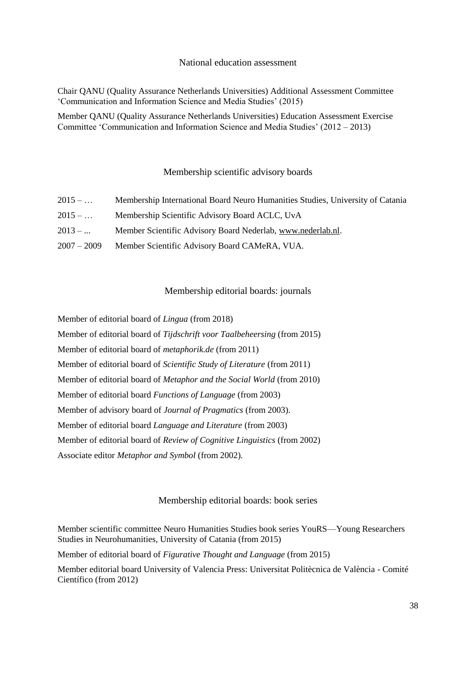#### National education assessment

<span id="page-37-0"></span>Chair QANU (Quality Assurance Netherlands Universities) Additional Assessment Committee 'Communication and Information Science and Media Studies' (2015)

Member QANU (Quality Assurance Netherlands Universities) Education Assessment Exercise Committee 'Communication and Information Science and Media Studies' (2012 – 2013)

## Membership scientific advisory boards

<span id="page-37-1"></span>

| $2015 - $     | Membership International Board Neuro Humanities Studies, University of Catania |
|---------------|--------------------------------------------------------------------------------|
| $2015 - $     | Membership Scientific Advisory Board ACLC, UvA                                 |
| $2013 - $     | Member Scientific Advisory Board Nederlab, www.nederlab.nl.                    |
| $2007 - 2009$ | Member Scientific Advisory Board CAMeRA, VUA.                                  |

## Membership editorial boards: journals

<span id="page-37-2"></span>Member of editorial board of *Lingua* (from 2018)

Member of editorial board of *Tijdschrift voor Taalbeheersing* (from 2015) Member of editorial board of *metaphorik.de* (from 2011) Member of editorial board of *Scientific Study of Literature* (from 2011)

Member of editorial board of *Metaphor and the Social World* (from 2010)

Member of editorial board *Functions of Language* (from 2003)

Member of advisory board of *Journal of Pragmatics* (from 2003).

Member of editorial board *Language and Literature* (from 2003)

Member of editorial board of *Review of Cognitive Linguistics* (from 2002)

Associate editor *Metaphor and Symbol* (from 2002)*.*

## Membership editorial boards: book series

<span id="page-37-3"></span>Member scientific committee Neuro Humanities Studies book series YouRS—Young Researchers Studies in Neurohumanities, University of Catania (from 2015)

Member of editorial board of *Figurative Thought and Language* (from 2015)

Member editorial board University of Valencia Press: Universitat Politècnica de València - Comité Científico (from 2012)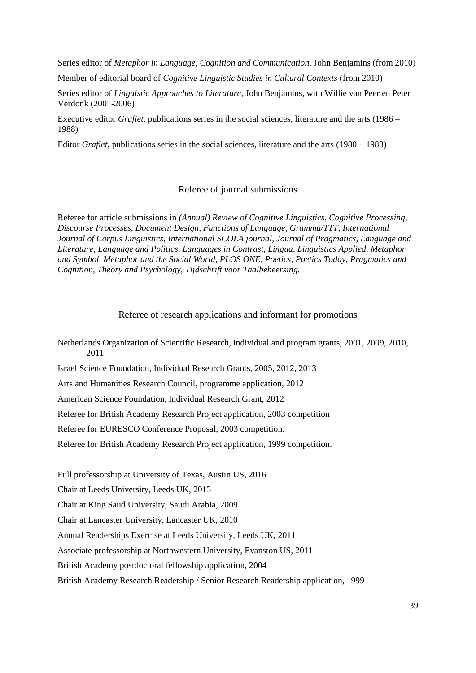Series editor of *Metaphor in Language, Cognition and Communication*, John Benjamins (from 2010)

Member of editorial board of *Cognitive Linguistic Studies in Cultural Contexts* (from 2010)

Series editor of *Linguistic Approaches to Literature*, John Benjamins, with Willie van Peer en Peter Verdonk (2001-2006)

Executive editor *Grafiet*, publications series in the social sciences, literature and the arts (1986 – 1988)

Editor *Grafiet*, publications series in the social sciences, literature and the arts (1980 – 1988)

#### Referee of journal submissions

<span id="page-38-0"></span>Referee for article submissions in *(Annual) Review of Cognitive Linguistics, Cognitive Processing, Discourse Processes, Document Design, Functions of Language, Gramma/TTT, International Journal of Corpus Linguistics, International SCOLA journal, Journal of Pragmatics, Language and Literature, Language and Politics, Languages in Contrast*, *Lingua*, *Linguistics Applied*, *Metaphor and Symbol, Metaphor and the Social World*, *PLOS ONE, Poetics, Poetics Today, Pragmatics and Cognition, Theory and Psychology, Tijdschrift voor Taalbeheersing.*

### Referee of research applications and informant for promotions

<span id="page-38-1"></span>Netherlands Organization of Scientific Research, individual and program grants, 2001, 2009, 2010, 2011

Israel Science Foundation, Individual Research Grants, 2005, 2012, 2013

Arts and Humanities Research Council, programme application, 2012

American Science Foundation, Individual Research Grant, 2012

Referee for British Academy Research Project application, 2003 competition

Referee for EURESCO Conference Proposal, 2003 competition.

Referee for British Academy Research Project application, 1999 competition.

Full professorship at University of Texas, Austin US, 2016

Chair at Leeds University, Leeds UK, 2013

Chair at King Saud University, Saudi Arabia, 2009

Chair at Lancaster University, Lancaster UK, 2010

Annual Readerships Exercise at Leeds University, Leeds UK, 2011

Associate professorship at Northwestern University, Evanston US, 2011

British Academy postdoctoral fellowship application, 2004

British Academy Research Readership / Senior Research Readership application, 1999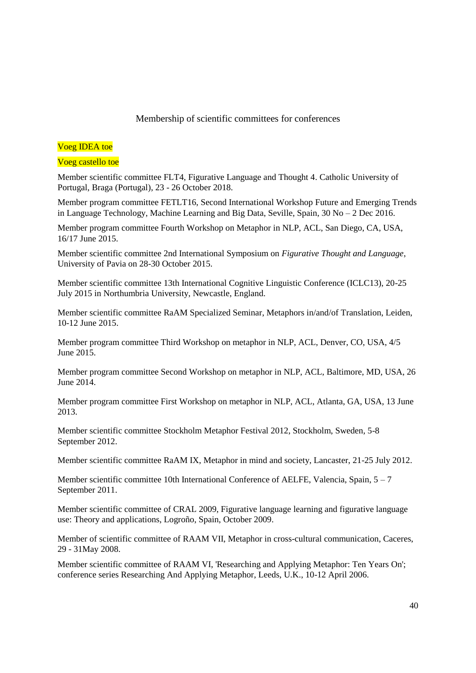## Membership of scientific committees for conferences

## <span id="page-39-0"></span>Voeg IDEA toe

### Voeg castello toe

Member scientific committee FLT4, Figurative Language and Thought 4. Catholic University of Portugal, Braga (Portugal), 23 - 26 October 2018.

Member program committee FETLT16, Second International Workshop Future and Emerging Trends in Language Technology, Machine Learning and Big Data, Seville, Spain, 30 No – 2 Dec 2016.

Member program committee Fourth Workshop on Metaphor in NLP, ACL, San Diego, CA, USA, 16/17 June 2015.

Member scientific committee 2nd International Symposium on *Figurative Thought and Language*, University of Pavia on 28-30 October 2015.

Member scientific committee 13th International Cognitive Linguistic Conference (ICLC13), 20-25 July 2015 in Northumbria University, Newcastle, England.

Member scientific committee RaAM Specialized Seminar, Metaphors in/and/of Translation, Leiden, 10-12 June 2015.

Member program committee Third Workshop on metaphor in NLP, ACL, Denver, CO, USA, 4/5 June 2015.

Member program committee Second Workshop on metaphor in NLP, ACL, Baltimore, MD, USA, 26 June 2014.

Member program committee First Workshop on metaphor in NLP, ACL, Atlanta, GA, USA, 13 June 2013.

Member scientific committee Stockholm Metaphor Festival 2012, Stockholm, Sweden, 5-8 September 2012.

Member scientific committee RaAM IX, Metaphor in mind and society, Lancaster, 21-25 July 2012.

Member scientific committee 10th International Conference of AELFE, Valencia, Spain,  $5 - 7$ September 2011.

Member scientific committee of CRAL 2009, Figurative language learning and figurative language use: Theory and applications, Logroño, Spain, October 2009.

Member of scientific committee of RAAM VII, Metaphor in cross-cultural communication, Caceres, 29 - 31May 2008.

Member scientific committee of RAAM VI, 'Researching and Applying Metaphor: Ten Years On'; conference series Researching And Applying Metaphor, Leeds, U.K., 10-12 April 2006.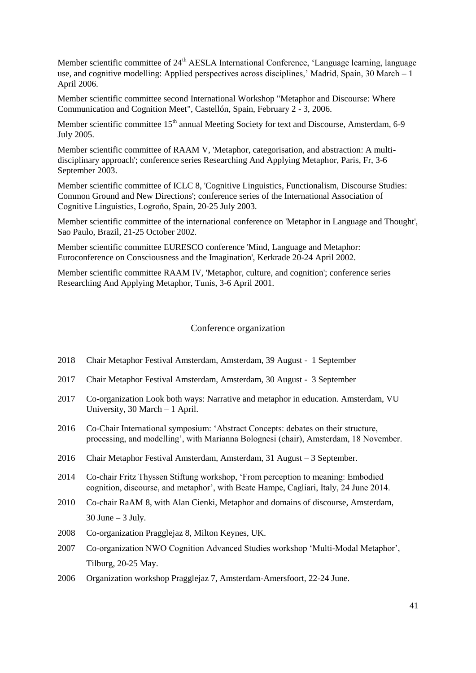Member scientific committee of 24<sup>th</sup> AESLA International Conference, 'Language learning, language use, and cognitive modelling: Applied perspectives across disciplines,' Madrid, Spain, 30 March – 1 April 2006.

Member scientific committee second International Workshop "Metaphor and Discourse: Where Communication and Cognition Meet", Castellón, Spain, February 2 - 3, 2006.

Member scientific committee 15<sup>th</sup> annual Meeting Society for text and Discourse, Amsterdam, 6-9 July 2005.

Member scientific committee of RAAM V, 'Metaphor, categorisation, and abstraction: A multidisciplinary approach'; conference series Researching And Applying Metaphor, Paris, Fr, 3-6 September 2003.

Member scientific committee of ICLC 8, 'Cognitive Linguistics, Functionalism, Discourse Studies: Common Ground and New Directions'; conference series of the International Association of Cognitive Linguistics, Logroňo, Spain, 20-25 July 2003.

Member scientific committee of the international conference on 'Metaphor in Language and Thought', Sao Paulo, Brazil, 21-25 October 2002.

Member scientific committee EURESCO conference 'Mind, Language and Metaphor: Euroconference on Consciousness and the Imagination', Kerkrade 20-24 April 2002.

Member scientific committee RAAM IV, 'Metaphor, culture, and cognition'; conference series Researching And Applying Metaphor, Tunis, 3-6 April 2001.

#### Conference organization

- <span id="page-40-0"></span>2018 Chair Metaphor Festival Amsterdam, Amsterdam, 39 August - 1 September
- 2017 Chair Metaphor Festival Amsterdam, Amsterdam, 30 August 3 September
- 2017 Co-organization Look both ways: Narrative and metaphor in education. Amsterdam, VU University, 30 March – 1 April.
- 2016 Co-Chair International symposium: 'Abstract Concepts: debates on their structure, processing, and modelling', with Marianna Bolognesi (chair), Amsterdam, 18 November.
- 2016 Chair Metaphor Festival Amsterdam, Amsterdam, 31 August 3 September.
- 2014 Co-chair Fritz Thyssen Stiftung workshop, 'From perception to meaning: Embodied cognition, discourse, and metaphor', with Beate Hampe, Cagliari, Italy, 24 June 2014.
- 2010 Co-chair RaAM 8, with Alan Cienki, Metaphor and domains of discourse, Amsterdam,  $30$  June  $-3$  July.
- 2008 Co-organization Pragglejaz 8, Milton Keynes, UK.
- 2007 Co-organization NWO Cognition Advanced Studies workshop 'Multi-Modal Metaphor', Tilburg, 20-25 May.
- 2006 Organization workshop Pragglejaz 7, Amsterdam-Amersfoort, 22-24 June.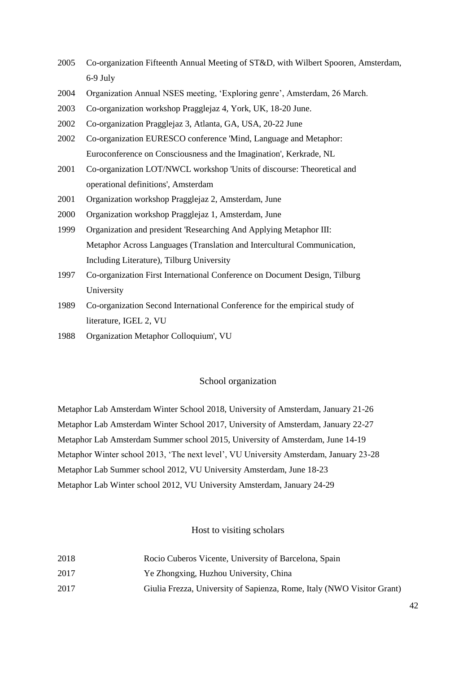- 2005 Co-organization Fifteenth Annual Meeting of ST&D, with Wilbert Spooren, Amsterdam, 6-9 July
- 2004 Organization Annual NSES meeting, 'Exploring genre', Amsterdam, 26 March.
- 2003 Co-organization workshop Pragglejaz 4, York, UK, 18-20 June.
- 2002 Co-organization Pragglejaz 3, Atlanta, GA, USA, 20-22 June
- 2002 Co-organization EURESCO conference 'Mind, Language and Metaphor: Euroconference on Consciousness and the Imagination', Kerkrade, NL
- 2001 Co-organization LOT/NWCL workshop 'Units of discourse: Theoretical and operational definitions', Amsterdam
- 2001 Organization workshop Pragglejaz 2, Amsterdam, June
- 2000 Organization workshop Pragglejaz 1, Amsterdam, June
- 1999 Organization and president 'Researching And Applying Metaphor III: Metaphor Across Languages (Translation and Intercultural Communication, Including Literature), Tilburg University
- 1997 Co-organization First International Conference on Document Design, Tilburg University
- 1989 Co-organization Second International Conference for the empirical study of literature, IGEL 2, VU
- 1988 Organization Metaphor Colloquium', VU

## School organization

<span id="page-41-0"></span>Metaphor Lab Amsterdam Winter School 2018, University of Amsterdam, January 21-26 Metaphor Lab Amsterdam Winter School 2017, University of Amsterdam, January 22-27 Metaphor Lab Amsterdam Summer school 2015, University of Amsterdam, June 14-19 Metaphor Winter school 2013, 'The next level', VU University Amsterdam, January 23-28 Metaphor Lab Summer school 2012, VU University Amsterdam, June 18-23 Metaphor Lab Winter school 2012, VU University Amsterdam, January 24-29

### Host to visiting scholars

- <span id="page-41-1"></span>2018 Rocio Cuberos Vicente, University of Barcelona, Spain
- 2017 Ye Zhongxing, Huzhou University, China
- 2017 Giulia Frezza, University of Sapienza, Rome, Italy (NWO Visitor Grant)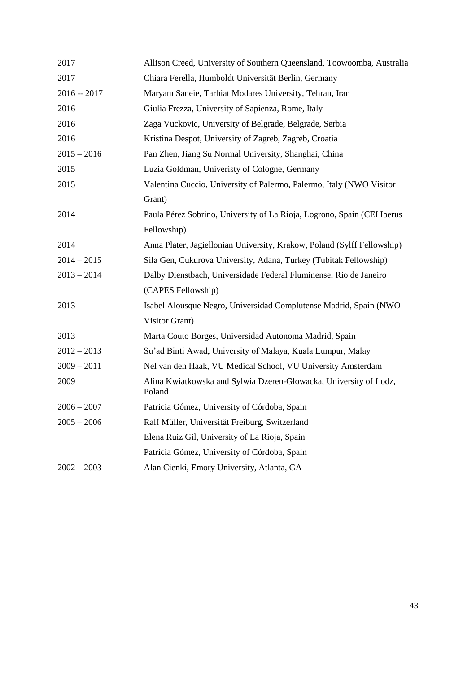| 2017          | Allison Creed, University of Southern Queensland, Toowoomba, Australia      |
|---------------|-----------------------------------------------------------------------------|
| 2017          | Chiara Ferella, Humboldt Universität Berlin, Germany                        |
| $2016 - 2017$ | Maryam Saneie, Tarbiat Modares University, Tehran, Iran                     |
| 2016          | Giulia Frezza, University of Sapienza, Rome, Italy                          |
| 2016          | Zaga Vuckovic, University of Belgrade, Belgrade, Serbia                     |
| 2016          | Kristina Despot, University of Zagreb, Zagreb, Croatia                      |
| $2015 - 2016$ | Pan Zhen, Jiang Su Normal University, Shanghai, China                       |
| 2015          | Luzia Goldman, Univeristy of Cologne, Germany                               |
| 2015          | Valentina Cuccio, University of Palermo, Palermo, Italy (NWO Visitor        |
|               | Grant)                                                                      |
| 2014          | Paula Pérez Sobrino, University of La Rioja, Logrono, Spain (CEI Iberus     |
|               | Fellowship)                                                                 |
| 2014          | Anna Plater, Jagiellonian University, Krakow, Poland (Sylff Fellowship)     |
| $2014 - 2015$ | Sila Gen, Cukurova University, Adana, Turkey (Tubitak Fellowship)           |
| $2013 - 2014$ | Dalby Dienstbach, Universidade Federal Fluminense, Rio de Janeiro           |
|               | (CAPES Fellowship)                                                          |
| 2013          | Isabel Alousque Negro, Universidad Complutense Madrid, Spain (NWO)          |
|               | Visitor Grant)                                                              |
| 2013          | Marta Couto Borges, Universidad Autonoma Madrid, Spain                      |
| $2012 - 2013$ | Su'ad Binti Awad, University of Malaya, Kuala Lumpur, Malay                 |
| $2009 - 2011$ | Nel van den Haak, VU Medical School, VU University Amsterdam                |
| 2009          | Alina Kwiatkowska and Sylwia Dzeren-Glowacka, University of Lodz,<br>Poland |
| $2006 - 2007$ | Patricia Gómez, University of Córdoba, Spain                                |
| $2005 - 2006$ | Ralf Müller, Universität Freiburg, Switzerland                              |
|               | Elena Ruiz Gil, University of La Rioja, Spain                               |
|               | Patricia Gómez, University of Córdoba, Spain                                |
| $2002 - 2003$ | Alan Cienki, Emory University, Atlanta, GA                                  |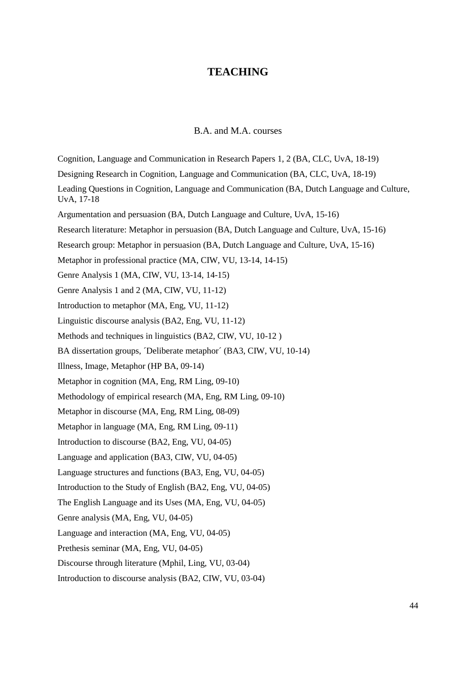## **TEACHING**

## B.A. and M.A. courses

<span id="page-43-1"></span><span id="page-43-0"></span>Cognition, Language and Communication in Research Papers 1, 2 (BA, CLC, UvA, 18-19) Designing Research in Cognition, Language and Communication (BA, CLC, UvA, 18-19) Leading Questions in Cognition, Language and Communication (BA, Dutch Language and Culture, UvA, 17-18 Argumentation and persuasion (BA, Dutch Language and Culture, UvA, 15-16) Research literature: Metaphor in persuasion (BA, Dutch Language and Culture, UvA, 15-16) Research group: Metaphor in persuasion (BA, Dutch Language and Culture, UvA, 15-16) Metaphor in professional practice (MA, CIW, VU, 13-14, 14-15) Genre Analysis 1 (MA, CIW, VU, 13-14, 14-15) Genre Analysis 1 and 2 (MA, CIW, VU, 11-12) Introduction to metaphor (MA, Eng, VU, 11-12) Linguistic discourse analysis (BA2, Eng, VU, 11-12) Methods and techniques in linguistics (BA2, CIW, VU, 10-12 ) BA dissertation groups, *Coliberate metaphor'* (BA3, CIW, VU, 10-14) Illness, Image, Metaphor (HP BA, 09-14) Metaphor in cognition (MA, Eng, RM Ling, 09-10) Methodology of empirical research (MA, Eng, RM Ling, 09-10) Metaphor in discourse (MA, Eng, RM Ling, 08-09) Metaphor in language (MA, Eng, RM Ling, 09-11) Introduction to discourse (BA2, Eng, VU, 04-05) Language and application (BA3, CIW, VU, 04-05) Language structures and functions (BA3, Eng, VU, 04-05) Introduction to the Study of English (BA2, Eng, VU, 04-05) The English Language and its Uses (MA, Eng, VU, 04-05) Genre analysis (MA, Eng, VU, 04-05) Language and interaction (MA, Eng, VU, 04-05) Prethesis seminar (MA, Eng, VU, 04-05) Discourse through literature (Mphil, Ling, VU, 03-04) Introduction to discourse analysis (BA2, CIW, VU, 03-04)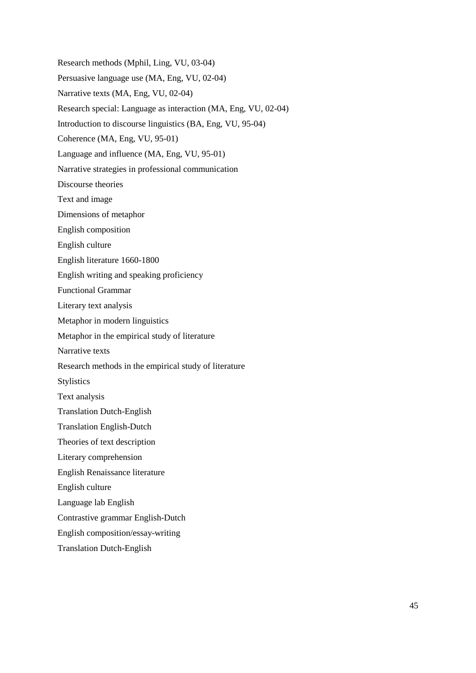Research methods (Mphil, Ling, VU, 03-04) Persuasive language use (MA, Eng, VU, 02-04) Narrative texts (MA, Eng, VU, 02-04) Research special: Language as interaction (MA, Eng, VU, 02-04) Introduction to discourse linguistics (BA, Eng, VU, 95-04) Coherence (MA, Eng, VU, 95-01) Language and influence (MA, Eng, VU, 95-01) Narrative strategies in professional communication Discourse theories Text and image Dimensions of metaphor English composition English culture English literature 1660-1800 English writing and speaking proficiency Functional Grammar Literary text analysis Metaphor in modern linguistics Metaphor in the empirical study of literature Narrative texts Research methods in the empirical study of literature **Stylistics** Text analysis Translation Dutch-English Translation English-Dutch Theories of text description Literary comprehension English Renaissance literature English culture Language lab English Contrastive grammar English-Dutch English composition/essay-writing Translation Dutch-English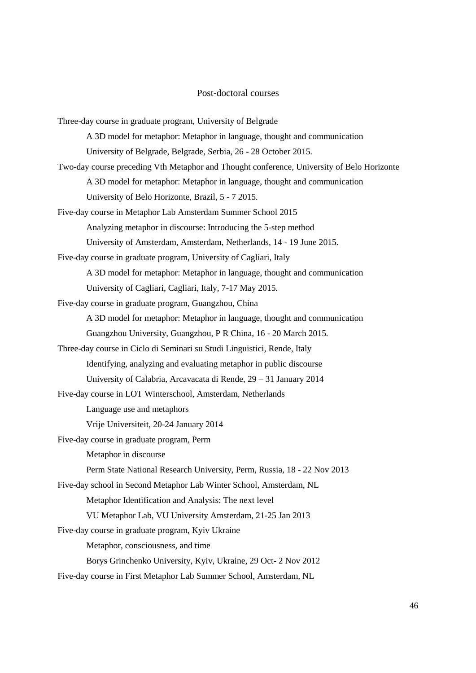## Post-doctoral courses

<span id="page-45-0"></span>

| Three-day course in graduate program, University of Belgrade                               |
|--------------------------------------------------------------------------------------------|
| A 3D model for metaphor: Metaphor in language, thought and communication                   |
| University of Belgrade, Belgrade, Serbia, 26 - 28 October 2015.                            |
| Two-day course preceding Vth Metaphor and Thought conference, University of Belo Horizonte |
| A 3D model for metaphor: Metaphor in language, thought and communication                   |
| University of Belo Horizonte, Brazil, 5 - 7 2015.                                          |
| Five-day course in Metaphor Lab Amsterdam Summer School 2015                               |
| Analyzing metaphor in discourse: Introducing the 5-step method                             |
| University of Amsterdam, Amsterdam, Netherlands, 14 - 19 June 2015.                        |
| Five-day course in graduate program, University of Cagliari, Italy                         |
| A 3D model for metaphor: Metaphor in language, thought and communication                   |
| University of Cagliari, Cagliari, Italy, 7-17 May 2015.                                    |
| Five-day course in graduate program, Guangzhou, China                                      |
| A 3D model for metaphor: Metaphor in language, thought and communication                   |
| Guangzhou University, Guangzhou, P R China, 16 - 20 March 2015.                            |
| Three-day course in Ciclo di Seminari su Studi Linguistici, Rende, Italy                   |
| Identifying, analyzing and evaluating metaphor in public discourse                         |
| University of Calabria, Arcavacata di Rende, 29 – 31 January 2014                          |
| Five-day course in LOT Winterschool, Amsterdam, Netherlands                                |
| Language use and metaphors                                                                 |
| Vrije Universiteit, 20-24 January 2014                                                     |
| Five-day course in graduate program, Perm                                                  |
| Metaphor in discourse                                                                      |
| Perm State National Research University, Perm, Russia, 18 - 22 Nov 2013                    |
| Five-day school in Second Metaphor Lab Winter School, Amsterdam, NL                        |
| Metaphor Identification and Analysis: The next level                                       |
| VU Metaphor Lab, VU University Amsterdam, 21-25 Jan 2013                                   |
| Five-day course in graduate program, Kyiv Ukraine                                          |
| Metaphor, consciousness, and time                                                          |
| Borys Grinchenko University, Kyiv, Ukraine, 29 Oct-2 Nov 2012                              |
| Five-day course in First Metaphor Lab Summer School, Amsterdam, NL                         |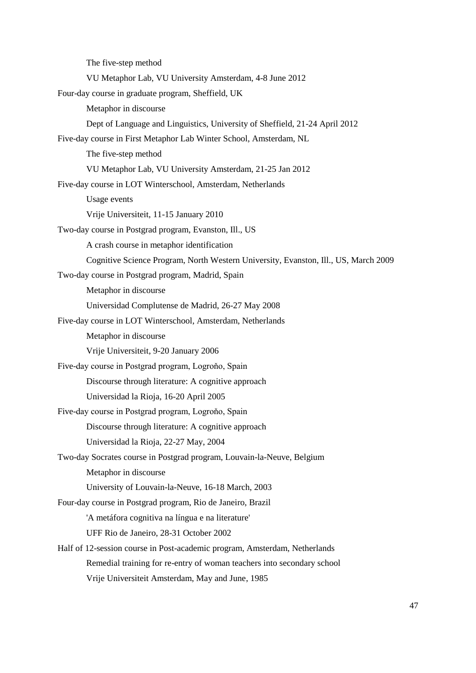The five-step method VU Metaphor Lab, VU University Amsterdam, 4-8 June 2012 Four-day course in graduate program, Sheffield, UK Metaphor in discourse Dept of Language and Linguistics, University of Sheffield, 21-24 April 2012 Five-day course in First Metaphor Lab Winter School, Amsterdam, NL The five-step method VU Metaphor Lab, VU University Amsterdam, 21-25 Jan 2012 Five-day course in LOT Winterschool, Amsterdam, Netherlands Usage events Vrije Universiteit, 11-15 January 2010 Two-day course in Postgrad program, Evanston, Ill., US A crash course in metaphor identification Cognitive Science Program, North Western University, Evanston, Ill., US, March 2009 Two-day course in Postgrad program, Madrid, Spain Metaphor in discourse Universidad Complutense de Madrid, 26-27 May 2008 Five-day course in LOT Winterschool, Amsterdam, Netherlands Metaphor in discourse Vrije Universiteit, 9-20 January 2006 Five-day course in Postgrad program, Logroňo, Spain Discourse through literature: A cognitive approach Universidad la Rioja, 16-20 April 2005 Five-day course in Postgrad program, Logroňo, Spain Discourse through literature: A cognitive approach Universidad la Rioja, 22-27 May, 2004 Two-day Socrates course in Postgrad program, Louvain-la-Neuve, Belgium Metaphor in discourse University of Louvain-la-Neuve, 16-18 March, 2003 Four-day course in Postgrad program, Rio de Janeiro, Brazil 'A metáfora cognitiva na língua e na literature' UFF Rio de Janeiro, 28-31 October 2002 Half of 12-session course in Post-academic program, Amsterdam, Netherlands Remedial training for re-entry of woman teachers into secondary school Vrije Universiteit Amsterdam, May and June, 1985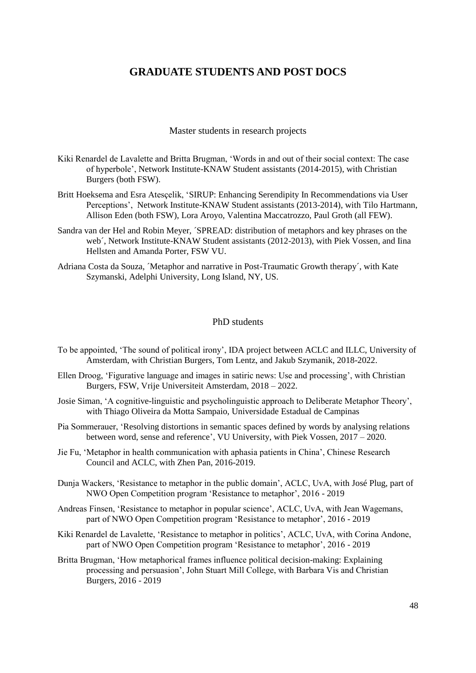## <span id="page-47-0"></span>**GRADUATE STUDENTS AND POST DOCS**

Master students in research projects

- <span id="page-47-1"></span>Kiki Renardel de Lavalette and Britta Brugman, 'Words in and out of their social context: The case of hyperbole', Network Institute-KNAW Student assistants (2014-2015), with Christian Burgers (both FSW).
- Britt Hoeksema and Esra Atesçelik, 'SIRUP: Enhancing Serendipity In Recommendations via User Perceptions', Network Institute-KNAW Student assistants (2013-2014), with Tilo Hartmann, Allison Eden (both FSW), Lora Aroyo, Valentina Maccatrozzo, Paul Groth (all FEW).
- Sandra van der Hel and Robin Meyer, ´SPREAD: distribution of metaphors and key phrases on the web´, Network Institute-KNAW Student assistants (2012-2013), with Piek Vossen, and Iina Hellsten and Amanda Porter, FSW VU.
- Adriana Costa da Souza, ´Metaphor and narrative in Post-Traumatic Growth therapy´, with Kate Szymanski, Adelphi University, Long Island, NY, US.

#### PhD students

- <span id="page-47-2"></span>To be appointed, 'The sound of political irony', IDA project between ACLC and ILLC, University of Amsterdam, with Christian Burgers, Tom Lentz, and Jakub Szymanik, 2018-2022.
- Ellen Droog, 'Figurative language and images in satiric news: Use and processing', with Christian Burgers, FSW, Vrije Universiteit Amsterdam, 2018 – 2022.
- Josie Siman, 'A cognitive-linguistic and psycholinguistic approach to Deliberate Metaphor Theory', with Thiago Oliveira da Motta Sampaio, Universidade Estadual de Campinas
- Pia Sommerauer, 'Resolving distortions in semantic spaces defined by words by analysing relations between word, sense and reference', VU University, with Piek Vossen, 2017 – 2020.
- Jie Fu, 'Metaphor in health communication with aphasia patients in China', Chinese Research Council and ACLC, with Zhen Pan, 2016-2019.
- Dunja Wackers, 'Resistance to metaphor in the public domain', ACLC, UvA, with José Plug, part of NWO Open Competition program 'Resistance to metaphor', 2016 - 2019
- Andreas Finsen, 'Resistance to metaphor in popular science', ACLC, UvA, with Jean Wagemans, part of NWO Open Competition program 'Resistance to metaphor', 2016 - 2019
- Kiki Renardel de Lavalette, 'Resistance to metaphor in politics', ACLC, UvA, with Corina Andone, part of NWO Open Competition program 'Resistance to metaphor', 2016 - 2019
- Britta Brugman, 'How metaphorical frames influence political decision-making: Explaining processing and persuasion', John Stuart Mill College, with Barbara Vis and Christian Burgers, 2016 - 2019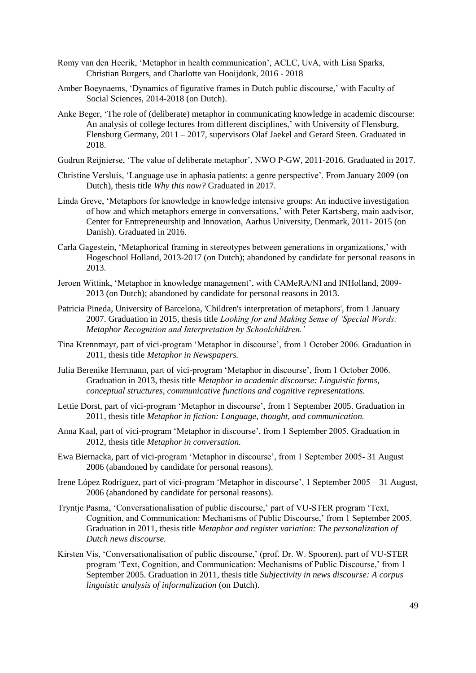- Romy van den Heerik, 'Metaphor in health communication', ACLC, UvA, with Lisa Sparks, Christian Burgers, and Charlotte van Hooijdonk, 2016 - 2018
- Amber Boeynaems, 'Dynamics of figurative frames in Dutch public discourse,' with Faculty of Social Sciences, 2014-2018 (on Dutch).
- Anke Beger, 'The role of (deliberate) metaphor in communicating knowledge in academic discourse: An analysis of college lectures from different disciplines,' with University of Flensburg, Flensburg Germany, 2011 – 2017, supervisors Olaf Jaekel and Gerard Steen. Graduated in 2018.
- Gudrun Reijnierse, 'The value of deliberate metaphor', NWO P-GW, 2011-2016. Graduated in 2017.
- Christine Versluis, 'Language use in aphasia patients: a genre perspective'. From January 2009 (on Dutch), thesis title *Why this now?* Graduated in 2017.
- Linda Greve, 'Metaphors for knowledge in knowledge intensive groups: An inductive investigation of how and which metaphors emerge in conversations,' with Peter Kartsberg, main aadvisor, Center for Entrepreneurship and Innovation, Aarhus University, Denmark, 2011- 2015 (on Danish). Graduated in 2016.
- Carla Gagestein, 'Metaphorical framing in stereotypes between generations in organizations,' with Hogeschool Holland, 2013-2017 (on Dutch); abandoned by candidate for personal reasons in 2013.
- Jeroen Wittink, 'Metaphor in knowledge management', with CAMeRA/NI and INHolland, 2009- 2013 (on Dutch); abandoned by candidate for personal reasons in 2013.
- Patricia Pineda, University of Barcelona, 'Children's interpretation of metaphors', from 1 January 2007. Graduation in 2015, thesis title *Looking for and Making Sense of 'Special Words: Metaphor Recognition and Interpretation by Schoolchildren.'*
- Tina Krennmayr, part of vici-program 'Metaphor in discourse', from 1 October 2006. Graduation in 2011, thesis title *Metaphor in Newspapers.*
- Julia Berenike Herrmann, part of vici-program 'Metaphor in discourse', from 1 October 2006. Graduation in 2013, thesis title *Metaphor in academic discourse: Linguistic forms, conceptual structures, communicative functions and cognitive representations.*
- Lettie Dorst, part of vici-program 'Metaphor in discourse', from 1 September 2005. Graduation in 2011, thesis title *Metaphor in fiction: Language, thought, and communication.*
- Anna Kaal, part of vici-program 'Metaphor in discourse', from 1 September 2005. Graduation in 2012, thesis title *Metaphor in conversation.*
- Ewa Biernacka, part of vici-program 'Metaphor in discourse', from 1 September 2005- 31 August 2006 (abandoned by candidate for personal reasons).
- Irene López Rodríguez, part of vici-program 'Metaphor in discourse', 1 September 2005 31 August, 2006 (abandoned by candidate for personal reasons).
- Tryntje Pasma, 'Conversationalisation of public discourse,' part of VU-STER program 'Text, Cognition, and Communication: Mechanisms of Public Discourse,' from 1 September 2005. Graduation in 2011, thesis title *Metaphor and register variation: The personalization of Dutch news discourse.*
- Kirsten Vis, 'Conversationalisation of public discourse,' (prof. Dr. W. Spooren), part of VU-STER program 'Text, Cognition, and Communication: Mechanisms of Public Discourse,' from 1 September 2005. Graduation in 2011, thesis title *Subjectivity in news discourse: A corpus linguistic analysis of informalization* (on Dutch).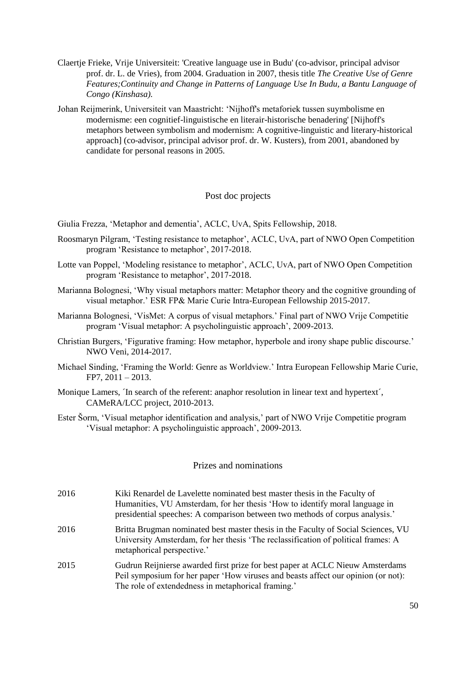- Claertje Frieke, Vrije Universiteit: 'Creative language use in Budu' (co-advisor, principal advisor prof. dr. L. de Vries), from 2004. Graduation in 2007, thesis title *The Creative Use of Genre Features;Continuity and Change in Patterns of Language Use In Budu, a Bantu Language of Congo (Kinshasa).*
- Johan Reijmerink, Universiteit van Maastricht: 'Nijhoff's metaforiek tussen suymbolisme en modernisme: een cognitief-linguistische en literair-historische benadering' [Nijhoff's metaphors between symbolism and modernism: A cognitive-linguistic and literary-historical approach] (co-advisor, principal advisor prof. dr. W. Kusters), from 2001, abandoned by candidate for personal reasons in 2005.

### Post doc projects

<span id="page-49-0"></span>Giulia Frezza, 'Metaphor and dementia', ACLC, UvA, Spits Fellowship, 2018.

- Roosmaryn Pilgram, 'Testing resistance to metaphor', ACLC, UvA, part of NWO Open Competition program 'Resistance to metaphor', 2017-2018.
- Lotte van Poppel, 'Modeling resistance to metaphor', ACLC, UvA, part of NWO Open Competition program 'Resistance to metaphor', 2017-2018.
- Marianna Bolognesi, 'Why visual metaphors matter: Metaphor theory and the cognitive grounding of visual metaphor.' ESR FP& Marie Curie Intra-European Fellowship 2015-2017.
- Marianna Bolognesi, 'VisMet: A corpus of visual metaphors.' Final part of NWO Vrije Competitie program 'Visual metaphor: A psycholinguistic approach', 2009-2013.
- Christian Burgers, 'Figurative framing: How metaphor, hyperbole and irony shape public discourse.' NWO Veni, 2014-2017.
- Michael Sinding, 'Framing the World: Genre as Worldview.' Intra European Fellowship Marie Curie, FP7, 2011 – 2013.
- Monique Lamers, *The search of the referent: anaphor resolution in linear text and hypertext'*, CAMeRA/LCC project, 2010-2013.
- Ester Šorm, 'Visual metaphor identification and analysis,' part of NWO Vrije Competitie program 'Visual metaphor: A psycholinguistic approach', 2009-2013.

### Prizes and nominations

- <span id="page-49-1"></span>2016 Kiki Renardel de Lavelette nominated best master thesis in the Faculty of Humanities, VU Amsterdam, for her thesis 'How to identify moral language in presidential speeches: A comparison between two methods of corpus analysis.'
- 2016 Britta Brugman nominated best master thesis in the Faculty of Social Sciences, VU University Amsterdam, for her thesis 'The reclassification of political frames: A metaphorical perspective.'
- 2015 Gudrun Reijnierse awarded first prize for best paper at ACLC Nieuw Amsterdams Peil symposium for her paper 'How viruses and beasts affect our opinion (or not): The role of extendedness in metaphorical framing.'